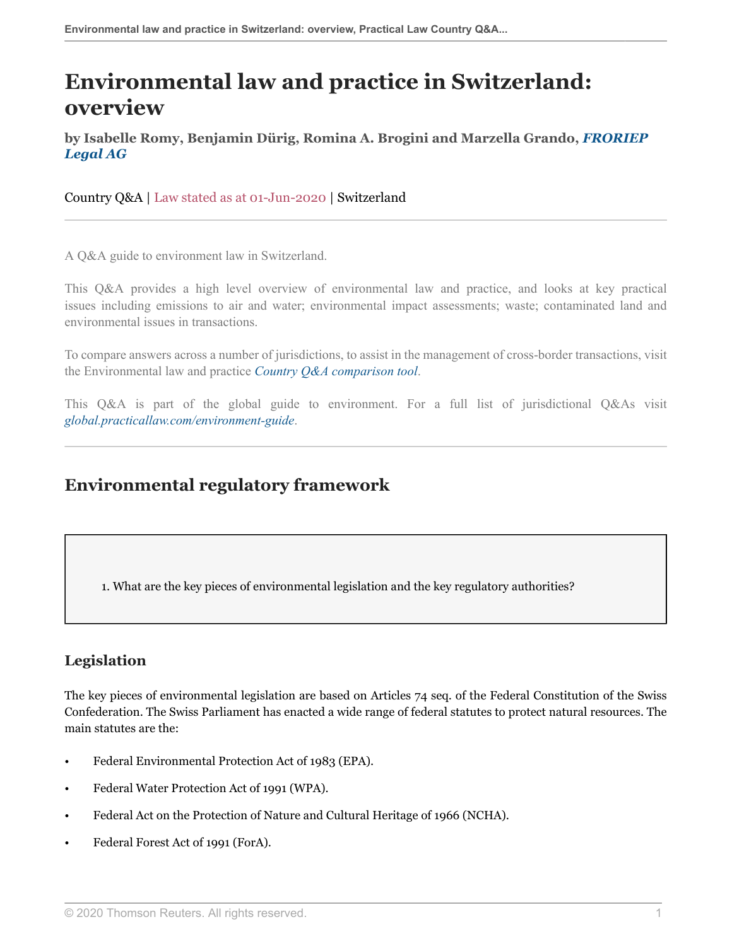# **Environmental law and practice in Switzerland: overview**

**by Isabelle Romy, Benjamin Dürig, Romina A. Brogini and Marzella Grando,** *[FRORIEP](https://uk.practicallaw.thomsonreuters.com/Browse/Home/About/Contributor/froriep ) [Legal AG](https://uk.practicallaw.thomsonreuters.com/Browse/Home/About/Contributor/froriep )*

Country Q&A | Law stated as at 01-Jun-2020 | Switzerland

A Q&A guide to environment law in Switzerland.

This Q&A provides a high level overview of environmental law and practice, and looks at key practical issues including emissions to air and water; environmental impact assessments; waste; contaminated land and environmental issues in transactions.

To compare answers across a number of jurisdictions, to assist in the management of cross-border transactions, visit the Environmental law and practice *[Country Q&A comparison tool](https://uk.practicallaw.thomsonreuters.com/QACompare/Builder/Country?transitionType=Default&contextData=(sc.Default)#/questions )*.

This Q&A is part of the global guide to environment. For a full list of jurisdictional Q&As visit *[global.practicallaw.com/environment-guide](https://uk.practicallaw.thomsonreuters.com/Browse/Home/International/EnvironmentGlobalGuide?transitionType=Default&contextData=(sc.Default) )*.

## **Environmental regulatory framework**

1. What are the key pieces of environmental legislation and the key regulatory authorities?

## **Legislation**

The key pieces of environmental legislation are based on Articles 74 seq. of the Federal Constitution of the Swiss Confederation. The Swiss Parliament has enacted a wide range of federal statutes to protect natural resources. The main statutes are the:

- Federal Environmental Protection Act of 1983 (EPA).
- Federal Water Protection Act of 1991 (WPA).
- Federal Act on the Protection of Nature and Cultural Heritage of 1966 (NCHA).
- Federal Forest Act of 1991 (ForA).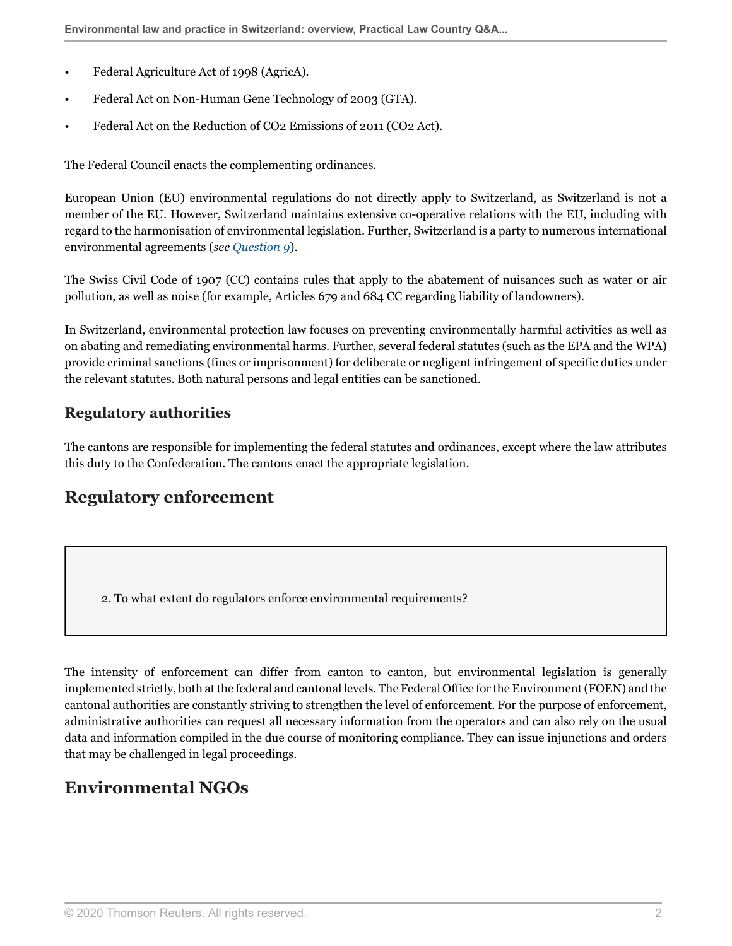- Federal Agriculture Act of 1998 (AgricA).
- Federal Act on Non-Human Gene Technology of 2003 (GTA).
- Federal Act on the Reduction of CO2 Emissions of 2011 (CO2 Act).

The Federal Council enacts the complementing ordinances.

European Union (EU) environmental regulations do not directly apply to Switzerland, as Switzerland is not a member of the EU. However, Switzerland maintains extensive co-operative relations with the EU, including with regard to the harmonisation of environmental legislation. Further, Switzerland is a party to numerous international environmental agreements (*see [Question 9](#page-6-0)*).

The Swiss Civil Code of 1907 (CC) contains rules that apply to the abatement of nuisances such as water or air pollution, as well as noise (for example, Articles 679 and 684 CC regarding liability of landowners).

In Switzerland, environmental protection law focuses on preventing environmentally harmful activities as well as on abating and remediating environmental harms. Further, several federal statutes (such as the EPA and the WPA) provide criminal sanctions (fines or imprisonment) for deliberate or negligent infringement of specific duties under the relevant statutes. Both natural persons and legal entities can be sanctioned.

### **Regulatory authorities**

The cantons are responsible for implementing the federal statutes and ordinances, except where the law attributes this duty to the Confederation. The cantons enact the appropriate legislation.

## **Regulatory enforcement**

2. To what extent do regulators enforce environmental requirements?

The intensity of enforcement can differ from canton to canton, but environmental legislation is generally implemented strictly, both at the federal and cantonal levels. The Federal Office for the Environment (FOEN) and the cantonal authorities are constantly striving to strengthen the level of enforcement. For the purpose of enforcement, administrative authorities can request all necessary information from the operators and can also rely on the usual data and information compiled in the due course of monitoring compliance. They can issue injunctions and orders that may be challenged in legal proceedings.

## **Environmental NGOs**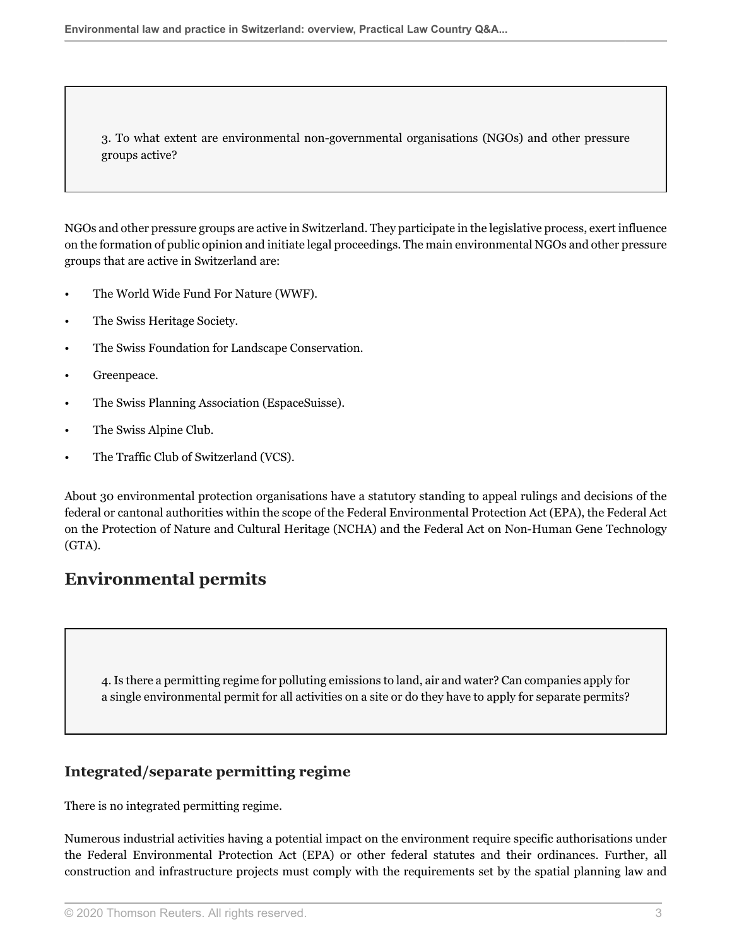<span id="page-2-1"></span>3. To what extent are environmental non-governmental organisations (NGOs) and other pressure groups active?

NGOs and other pressure groups are active in Switzerland. They participate in the legislative process, exert influence on the formation of public opinion and initiate legal proceedings. The main environmental NGOs and other pressure groups that are active in Switzerland are:

- The World Wide Fund For Nature (WWF).
- The Swiss Heritage Society.
- The Swiss Foundation for Landscape Conservation.
- Greenpeace.
- The Swiss Planning Association (EspaceSuisse).
- The Swiss Alpine Club.
- The Traffic Club of Switzerland (VCS).

About 30 environmental protection organisations have a statutory standing to appeal rulings and decisions of the federal or cantonal authorities within the scope of the Federal Environmental Protection Act (EPA), the Federal Act on the Protection of Nature and Cultural Heritage (NCHA) and the Federal Act on Non-Human Gene Technology (GTA).

## **Environmental permits**

<span id="page-2-0"></span>4. Is there a permitting regime for polluting emissions to land, air and water? Can companies apply for a single environmental permit for all activities on a site or do they have to apply for separate permits?

## **Integrated/separate permitting regime**

There is no integrated permitting regime.

Numerous industrial activities having a potential impact on the environment require specific authorisations under the Federal Environmental Protection Act (EPA) or other federal statutes and their ordinances. Further, all construction and infrastructure projects must comply with the requirements set by the spatial planning law and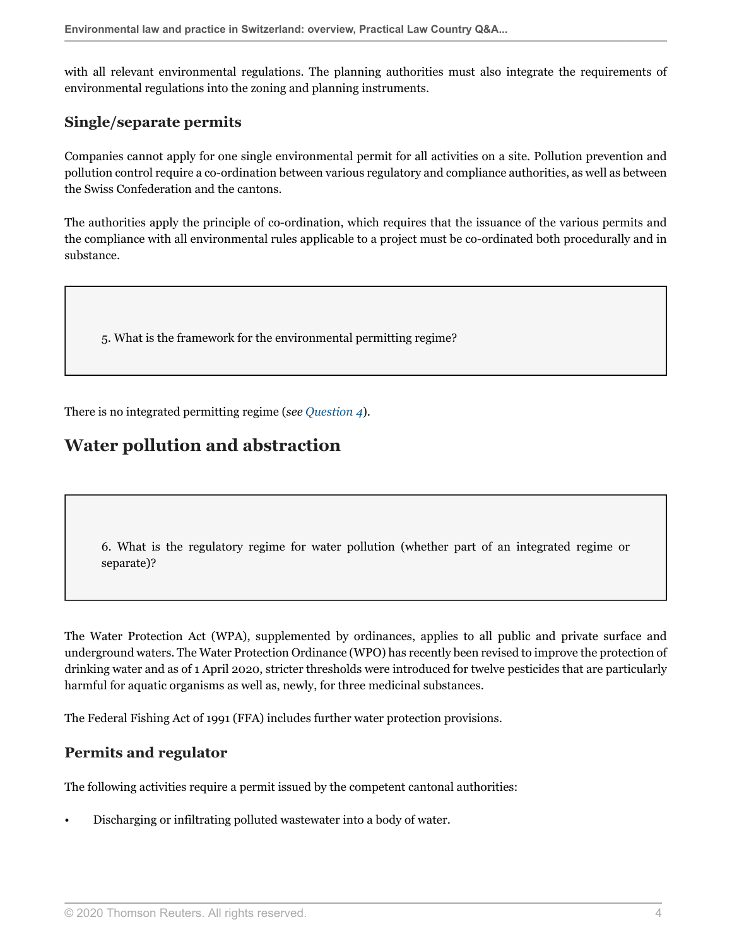with all relevant environmental regulations. The planning authorities must also integrate the requirements of environmental regulations into the zoning and planning instruments.

### **Single/separate permits**

Companies cannot apply for one single environmental permit for all activities on a site. Pollution prevention and pollution control require a co-ordination between various regulatory and compliance authorities, as well as between the Swiss Confederation and the cantons.

The authorities apply the principle of co-ordination, which requires that the issuance of the various permits and the compliance with all environmental rules applicable to a project must be co-ordinated both procedurally and in substance.

5. What is the framework for the environmental permitting regime?

There is no integrated permitting regime (*see [Question 4](#page-2-0)*).

## **Water pollution and abstraction**

<span id="page-3-0"></span>6. What is the regulatory regime for water pollution (whether part of an integrated regime or separate)?

The Water Protection Act (WPA), supplemented by ordinances, applies to all public and private surface and underground waters. The Water Protection Ordinance (WPO) has recently been revised to improve the protection of drinking water and as of 1 April 2020, stricter thresholds were introduced for twelve pesticides that are particularly harmful for aquatic organisms as well as, newly, for three medicinal substances.

The Federal Fishing Act of 1991 (FFA) includes further water protection provisions.

#### **Permits and regulator**

The following activities require a permit issued by the competent cantonal authorities:

• Discharging or infiltrating polluted wastewater into a body of water.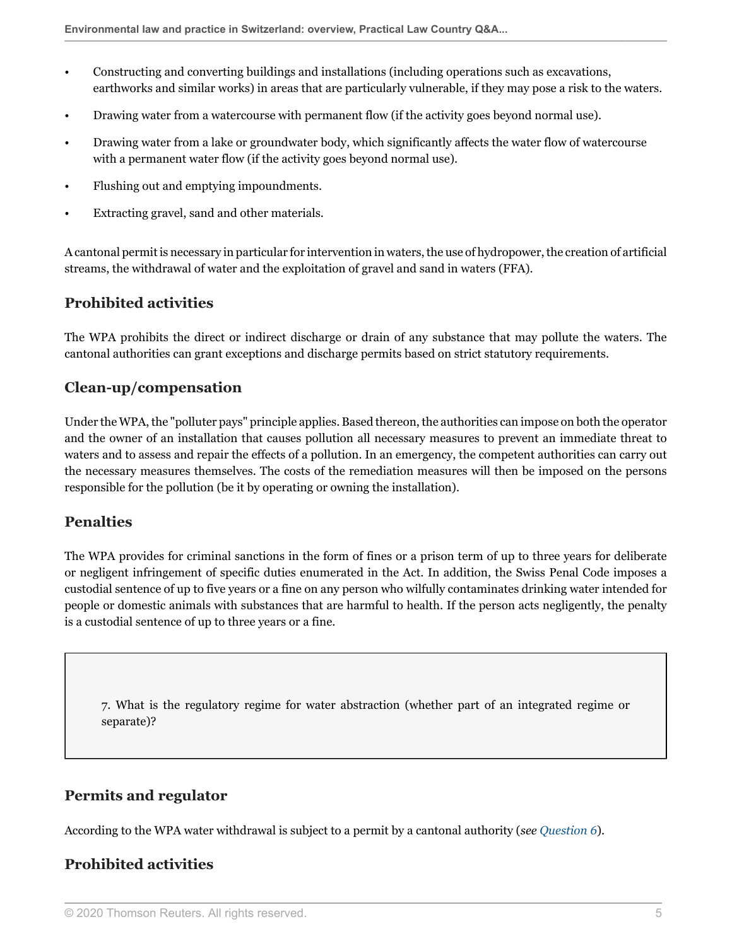- Constructing and converting buildings and installations (including operations such as excavations, earthworks and similar works) in areas that are particularly vulnerable, if they may pose a risk to the waters.
- Drawing water from a watercourse with permanent flow (if the activity goes beyond normal use).
- Drawing water from a lake or groundwater body, which significantly affects the water flow of watercourse with a permanent water flow (if the activity goes beyond normal use).
- Flushing out and emptying impoundments.
- Extracting gravel, sand and other materials.

A cantonal permit is necessary in particular for intervention in waters, the use of hydropower, the creation of artificial streams, the withdrawal of water and the exploitation of gravel and sand in waters (FFA).

#### **Prohibited activities**

The WPA prohibits the direct or indirect discharge or drain of any substance that may pollute the waters. The cantonal authorities can grant exceptions and discharge permits based on strict statutory requirements.

#### **Clean-up/compensation**

Under the WPA, the "polluter pays" principle applies. Based thereon, the authorities can impose on both the operator and the owner of an installation that causes pollution all necessary measures to prevent an immediate threat to waters and to assess and repair the effects of a pollution. In an emergency, the competent authorities can carry out the necessary measures themselves. The costs of the remediation measures will then be imposed on the persons responsible for the pollution (be it by operating or owning the installation).

#### **Penalties**

The WPA provides for criminal sanctions in the form of fines or a prison term of up to three years for deliberate or negligent infringement of specific duties enumerated in the Act. In addition, the Swiss Penal Code imposes a custodial sentence of up to five years or a fine on any person who wilfully contaminates drinking water intended for people or domestic animals with substances that are harmful to health. If the person acts negligently, the penalty is a custodial sentence of up to three years or a fine.

7. What is the regulatory regime for water abstraction (whether part of an integrated regime or separate)?

#### **Permits and regulator**

According to the WPA water withdrawal is subject to a permit by a cantonal authority (*see [Question 6](#page-3-0)*).

## **Prohibited activities**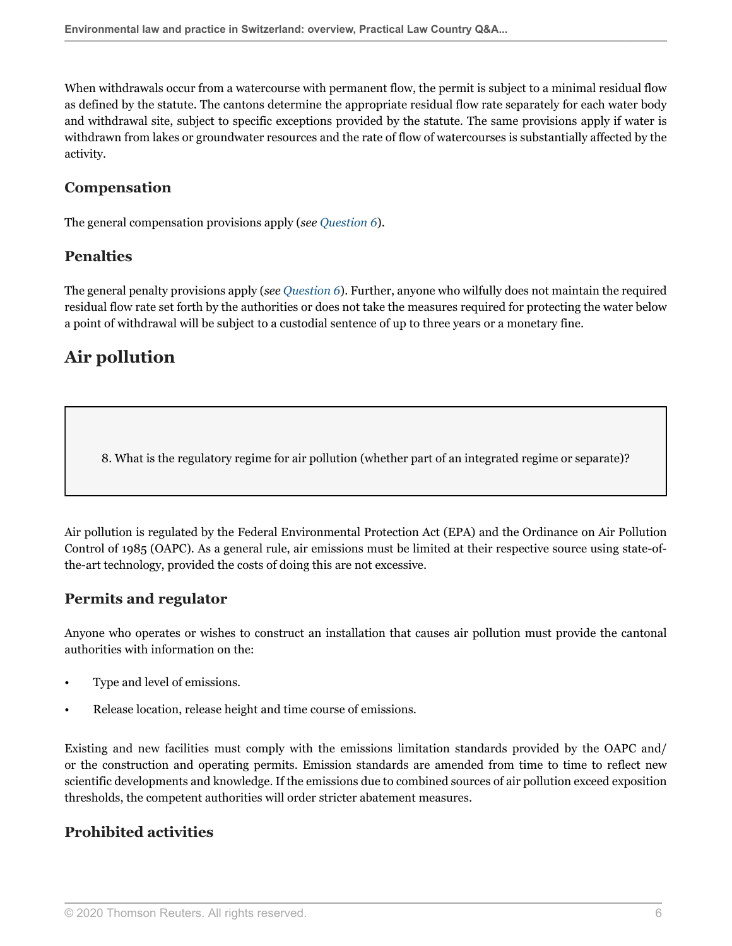When withdrawals occur from a watercourse with permanent flow, the permit is subject to a minimal residual flow as defined by the statute. The cantons determine the appropriate residual flow rate separately for each water body and withdrawal site, subject to specific exceptions provided by the statute. The same provisions apply if water is withdrawn from lakes or groundwater resources and the rate of flow of watercourses is substantially affected by the activity.

## **Compensation**

The general compensation provisions apply (*see [Question 6](#page-3-0)*).

## **Penalties**

The general penalty provisions apply (*see [Question 6](#page-3-0)*). Further, anyone who wilfully does not maintain the required residual flow rate set forth by the authorities or does not take the measures required for protecting the water below a point of withdrawal will be subject to a custodial sentence of up to three years or a monetary fine.

## **Air pollution**

8. What is the regulatory regime for air pollution (whether part of an integrated regime or separate)?

Air pollution is regulated by the Federal Environmental Protection Act (EPA) and the Ordinance on Air Pollution Control of 1985 (OAPC). As a general rule, air emissions must be limited at their respective source using state-ofthe-art technology, provided the costs of doing this are not excessive.

## **Permits and regulator**

Anyone who operates or wishes to construct an installation that causes air pollution must provide the cantonal authorities with information on the:

- Type and level of emissions.
- Release location, release height and time course of emissions.

Existing and new facilities must comply with the emissions limitation standards provided by the OAPC and/ or the construction and operating permits. Emission standards are amended from time to time to reflect new scientific developments and knowledge. If the emissions due to combined sources of air pollution exceed exposition thresholds, the competent authorities will order stricter abatement measures.

## **Prohibited activities**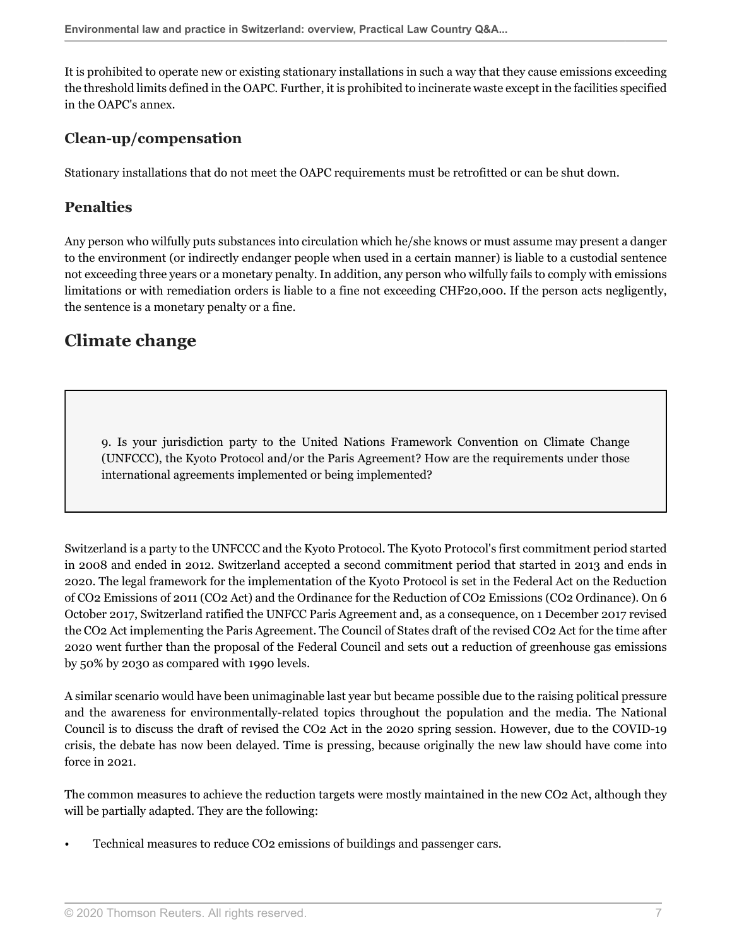It is prohibited to operate new or existing stationary installations in such a way that they cause emissions exceeding the threshold limits defined in the OAPC. Further, it is prohibited to incinerate waste except in the facilities specified in the OAPC's annex.

#### **Clean-up/compensation**

Stationary installations that do not meet the OAPC requirements must be retrofitted or can be shut down.

### **Penalties**

Any person who wilfully puts substances into circulation which he/she knows or must assume may present a danger to the environment (or indirectly endanger people when used in a certain manner) is liable to a custodial sentence not exceeding three years or a monetary penalty. In addition, any person who wilfully fails to comply with emissions limitations or with remediation orders is liable to a fine not exceeding CHF20,000. If the person acts negligently, the sentence is a monetary penalty or a fine.

## **Climate change**

<span id="page-6-0"></span>9. Is your jurisdiction party to the United Nations Framework Convention on Climate Change (UNFCCC), the Kyoto Protocol and/or the Paris Agreement? How are the requirements under those international agreements implemented or being implemented?

Switzerland is a party to the UNFCCC and the Kyoto Protocol. The Kyoto Protocol's first commitment period started in 2008 and ended in 2012. Switzerland accepted a second commitment period that started in 2013 and ends in 2020. The legal framework for the implementation of the Kyoto Protocol is set in the Federal Act on the Reduction of CO2 Emissions of 2011 (CO2 Act) and the Ordinance for the Reduction of CO2 Emissions (CO2 Ordinance). On 6 October 2017, Switzerland ratified the UNFCC Paris Agreement and, as a consequence, on 1 December 2017 revised the CO2 Act implementing the Paris Agreement. The Council of States draft of the revised CO2 Act for the time after 2020 went further than the proposal of the Federal Council and sets out a reduction of greenhouse gas emissions by 50% by 2030 as compared with 1990 levels.

A similar scenario would have been unimaginable last year but became possible due to the raising political pressure and the awareness for environmentally-related topics throughout the population and the media. The National Council is to discuss the draft of revised the CO2 Act in the 2020 spring session. However, due to the COVID-19 crisis, the debate has now been delayed. Time is pressing, because originally the new law should have come into force in 2021.

The common measures to achieve the reduction targets were mostly maintained in the new CO2 Act, although they will be partially adapted. They are the following:

• Technical measures to reduce CO2 emissions of buildings and passenger cars.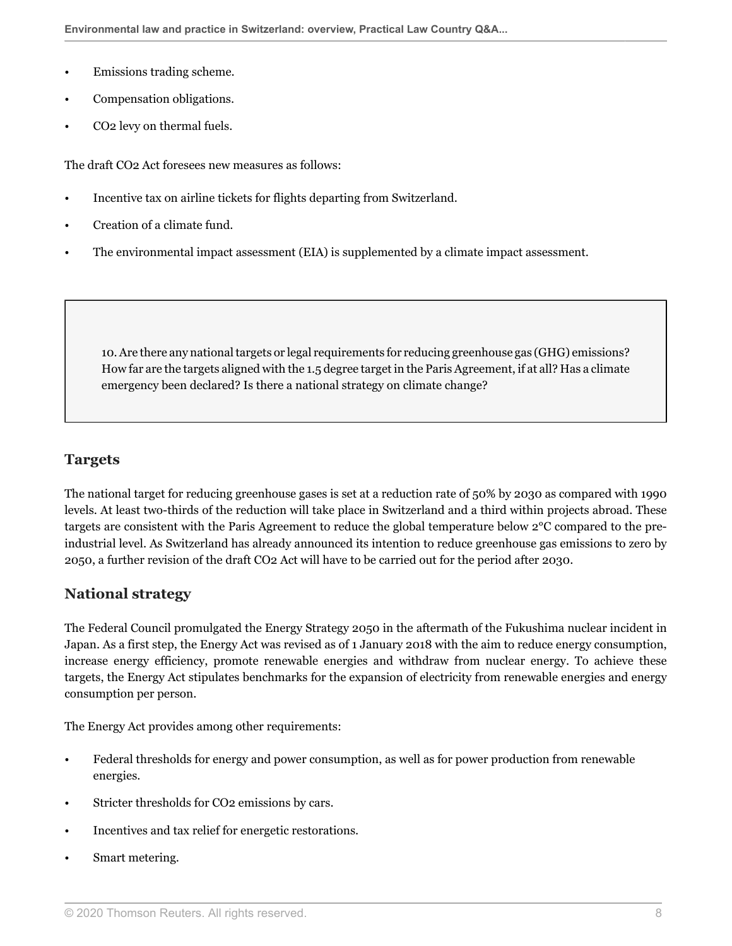- Emissions trading scheme.
- Compensation obligations.
- CO2 levy on thermal fuels.

The draft CO2 Act foresees new measures as follows:

- Incentive tax on airline tickets for flights departing from Switzerland.
- Creation of a climate fund.
- The environmental impact assessment (EIA) is supplemented by a climate impact assessment.

<span id="page-7-0"></span>10. Are there any national targets or legal requirements for reducing greenhouse gas (GHG) emissions? How far are the targets aligned with the 1.5 degree target in the Paris Agreement, if at all? Has a climate emergency been declared? Is there a national strategy on climate change?

#### **Targets**

The national target for reducing greenhouse gases is set at a reduction rate of 50% by 2030 as compared with 1990 levels. At least two-thirds of the reduction will take place in Switzerland and a third within projects abroad. These targets are consistent with the Paris Agreement to reduce the global temperature below 2°C compared to the preindustrial level. As Switzerland has already announced its intention to reduce greenhouse gas emissions to zero by 2050, a further revision of the draft CO2 Act will have to be carried out for the period after 2030.

#### **National strategy**

The Federal Council promulgated the Energy Strategy 2050 in the aftermath of the Fukushima nuclear incident in Japan. As a first step, the Energy Act was revised as of 1 January 2018 with the aim to reduce energy consumption, increase energy efficiency, promote renewable energies and withdraw from nuclear energy. To achieve these targets, the Energy Act stipulates benchmarks for the expansion of electricity from renewable energies and energy consumption per person.

The Energy Act provides among other requirements:

- Federal thresholds for energy and power consumption, as well as for power production from renewable energies.
- Stricter thresholds for CO2 emissions by cars.
- Incentives and tax relief for energetic restorations.
- Smart metering.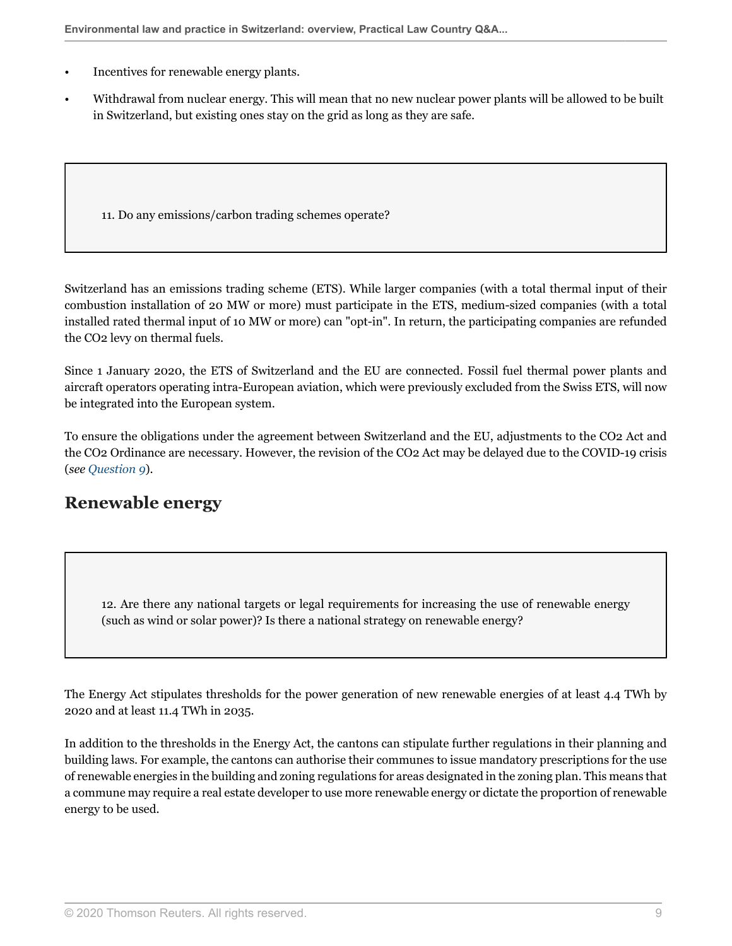- Incentives for renewable energy plants.
- Withdrawal from nuclear energy. This will mean that no new nuclear power plants will be allowed to be built in Switzerland, but existing ones stay on the grid as long as they are safe.

11. Do any emissions/carbon trading schemes operate?

Switzerland has an emissions trading scheme (ETS). While larger companies (with a total thermal input of their combustion installation of 20 MW or more) must participate in the ETS, medium-sized companies (with a total installed rated thermal input of 10 MW or more) can "opt-in". In return, the participating companies are refunded the CO2 levy on thermal fuels.

Since 1 January 2020, the ETS of Switzerland and the EU are connected. Fossil fuel thermal power plants and aircraft operators operating intra-European aviation, which were previously excluded from the Swiss ETS, will now be integrated into the European system.

To ensure the obligations under the agreement between Switzerland and the EU, adjustments to the CO2 Act and the CO2 Ordinance are necessary. However, the revision of the CO2 Act may be delayed due to the COVID-19 crisis (*see [Question 9](#page-6-0)*).

## **Renewable energy**

12. Are there any national targets or legal requirements for increasing the use of renewable energy (such as wind or solar power)? Is there a national strategy on renewable energy?

The Energy Act stipulates thresholds for the power generation of new renewable energies of at least 4.4 TWh by 2020 and at least 11.4 TWh in 2035.

In addition to the thresholds in the Energy Act, the cantons can stipulate further regulations in their planning and building laws. For example, the cantons can authorise their communes to issue mandatory prescriptions for the use of renewable energies in the building and zoning regulations for areas designated in the zoning plan. This means that a commune may require a real estate developer to use more renewable energy or dictate the proportion of renewable energy to be used.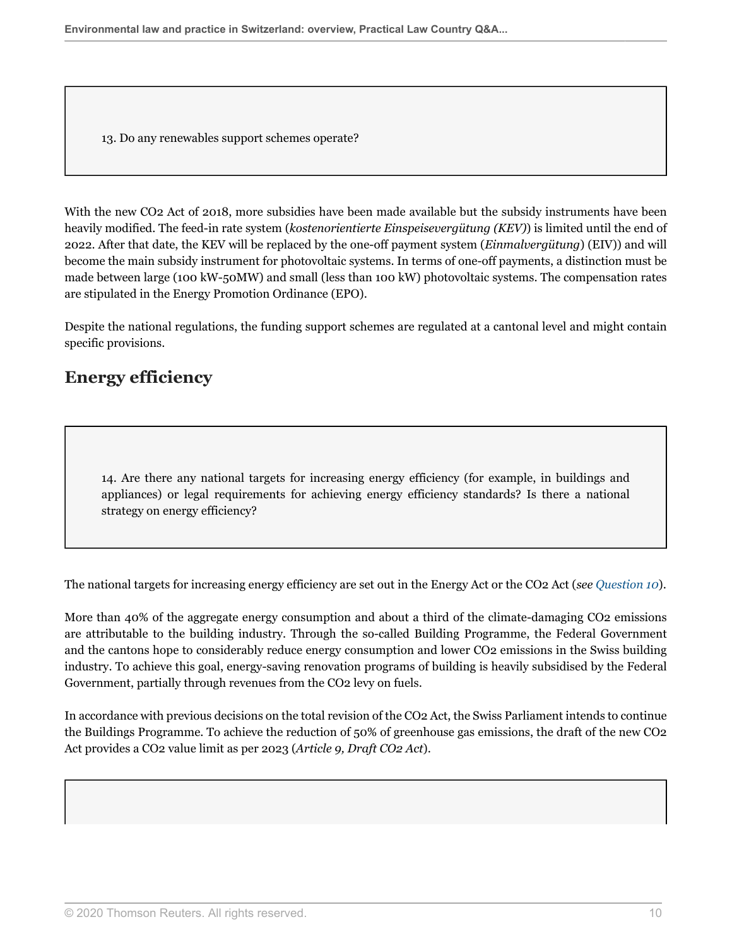13. Do any renewables support schemes operate?

With the new CO<sub>2</sub> Act of 2018, more subsidies have been made available but the subsidy instruments have been heavily modified. The feed-in rate system (*kostenorientierte Einspeisevergütung (KEV)*) is limited until the end of 2022. After that date, the KEV will be replaced by the one-off payment system (*Einmalvergütung*) (EIV)) and will become the main subsidy instrument for photovoltaic systems. In terms of one-off payments, a distinction must be made between large (100 kW-50MW) and small (less than 100 kW) photovoltaic systems. The compensation rates are stipulated in the Energy Promotion Ordinance (EPO).

Despite the national regulations, the funding support schemes are regulated at a cantonal level and might contain specific provisions.

## **Energy efficiency**

14. Are there any national targets for increasing energy efficiency (for example, in buildings and appliances) or legal requirements for achieving energy efficiency standards? Is there a national strategy on energy efficiency?

The national targets for increasing energy efficiency are set out in the Energy Act or the CO2 Act (*see [Question 10](#page-7-0)*).

More than 40% of the aggregate energy consumption and about a third of the climate-damaging CO2 emissions are attributable to the building industry. Through the so-called Building Programme, the Federal Government and the cantons hope to considerably reduce energy consumption and lower CO2 emissions in the Swiss building industry. To achieve this goal, energy-saving renovation programs of building is heavily subsidised by the Federal Government, partially through revenues from the CO2 levy on fuels.

In accordance with previous decisions on the total revision of the CO2 Act, the Swiss Parliament intends to continue the Buildings Programme. To achieve the reduction of 50% of greenhouse gas emissions, the draft of the new CO2 Act provides a CO2 value limit as per 2023 (*Article 9, Draft CO2 Act*).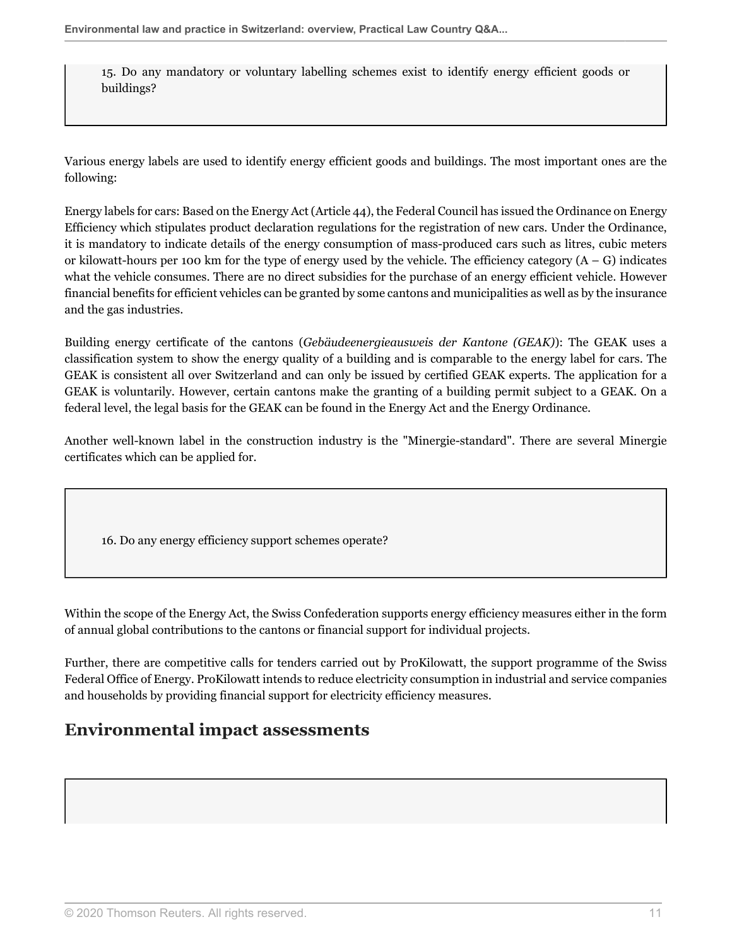15. Do any mandatory or voluntary labelling schemes exist to identify energy efficient goods or buildings?

Various energy labels are used to identify energy efficient goods and buildings. The most important ones are the following:

Energy labels for cars: Based on the Energy Act (Article 44), the Federal Council has issued the Ordinance on Energy Efficiency which stipulates product declaration regulations for the registration of new cars. Under the Ordinance, it is mandatory to indicate details of the energy consumption of mass-produced cars such as litres, cubic meters or kilowatt-hours per 100 km for the type of energy used by the vehicle. The efficiency category  $(A - G)$  indicates what the vehicle consumes. There are no direct subsidies for the purchase of an energy efficient vehicle. However financial benefits for efficient vehicles can be granted by some cantons and municipalities as well as by the insurance and the gas industries.

Building energy certificate of the cantons (*Gebäudeenergieausweis der Kantone (GEAK)*): The GEAK uses a classification system to show the energy quality of a building and is comparable to the energy label for cars. The GEAK is consistent all over Switzerland and can only be issued by certified GEAK experts. The application for a GEAK is voluntarily. However, certain cantons make the granting of a building permit subject to a GEAK. On a federal level, the legal basis for the GEAK can be found in the Energy Act and the Energy Ordinance.

Another well-known label in the construction industry is the "Minergie-standard". There are several Minergie certificates which can be applied for.

16. Do any energy efficiency support schemes operate?

Within the scope of the Energy Act, the Swiss Confederation supports energy efficiency measures either in the form of annual global contributions to the cantons or financial support for individual projects.

Further, there are competitive calls for tenders carried out by ProKilowatt, the support programme of the Swiss Federal Office of Energy. ProKilowatt intends to reduce electricity consumption in industrial and service companies and households by providing financial support for electricity efficiency measures.

## **Environmental impact assessments**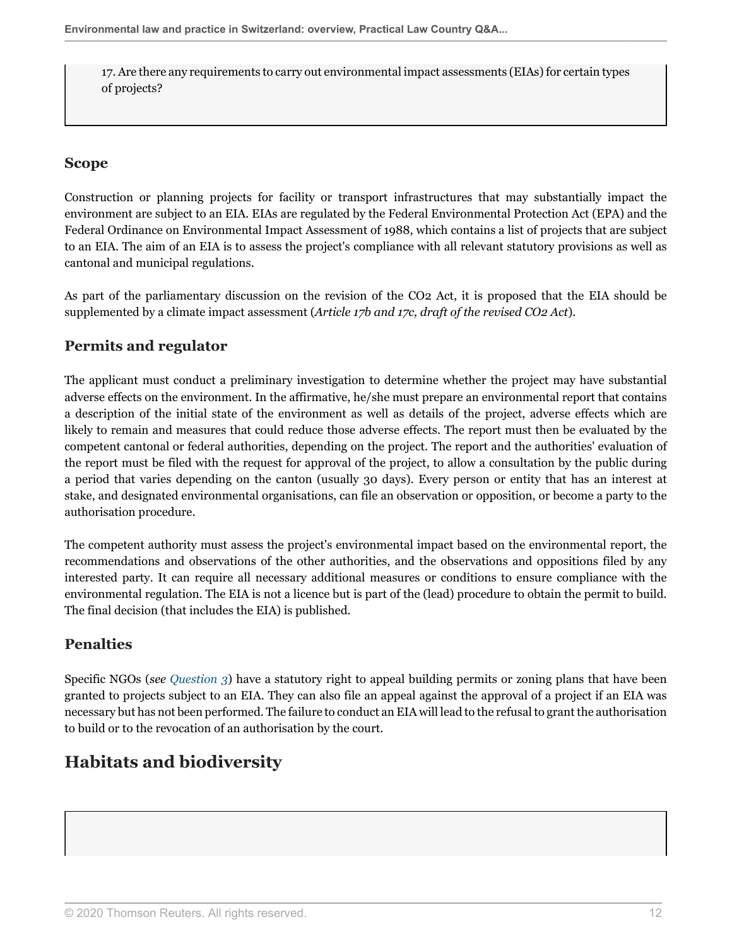17. Are there any requirements to carry out environmental impact assessments (EIAs) for certain types of projects?

## **Scope**

Construction or planning projects for facility or transport infrastructures that may substantially impact the environment are subject to an EIA. EIAs are regulated by the Federal Environmental Protection Act (EPA) and the Federal Ordinance on Environmental Impact Assessment of 1988, which contains a list of projects that are subject to an EIA. The aim of an EIA is to assess the project's compliance with all relevant statutory provisions as well as cantonal and municipal regulations.

As part of the parliamentary discussion on the revision of the CO2 Act, it is proposed that the EIA should be supplemented by a climate impact assessment (*Article 17b and 17c, draft of the revised CO2 Act*).

## **Permits and regulator**

The applicant must conduct a preliminary investigation to determine whether the project may have substantial adverse effects on the environment. In the affirmative, he/she must prepare an environmental report that contains a description of the initial state of the environment as well as details of the project, adverse effects which are likely to remain and measures that could reduce those adverse effects. The report must then be evaluated by the competent cantonal or federal authorities, depending on the project. The report and the authorities' evaluation of the report must be filed with the request for approval of the project, to allow a consultation by the public during a period that varies depending on the canton (usually 30 days). Every person or entity that has an interest at stake, and designated environmental organisations, can file an observation or opposition, or become a party to the authorisation procedure.

The competent authority must assess the project's environmental impact based on the environmental report, the recommendations and observations of the other authorities, and the observations and oppositions filed by any interested party. It can require all necessary additional measures or conditions to ensure compliance with the environmental regulation. The EIA is not a licence but is part of the (lead) procedure to obtain the permit to build. The final decision (that includes the EIA) is published.

## **Penalties**

Specific NGOs (*see [Question 3](#page-2-1)*) have a statutory right to appeal building permits or zoning plans that have been granted to projects subject to an EIA. They can also file an appeal against the approval of a project if an EIA was necessary but has not been performed. The failure to conduct an EIA will lead to the refusal to grant the authorisation to build or to the revocation of an authorisation by the court.

## **Habitats and biodiversity**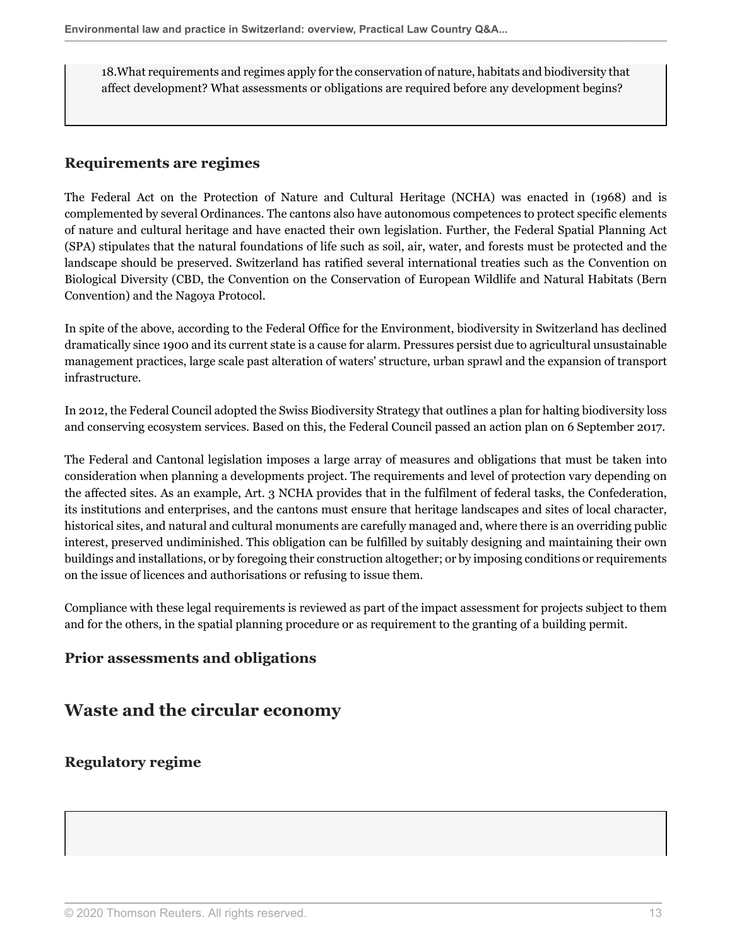18.What requirements and regimes apply for the conservation of nature, habitats and biodiversity that affect development? What assessments or obligations are required before any development begins?

#### **Requirements are regimes**

The Federal Act on the Protection of Nature and Cultural Heritage (NCHA) was enacted in (1968) and is complemented by several Ordinances. The cantons also have autonomous competences to protect specific elements of nature and cultural heritage and have enacted their own legislation. Further, the Federal Spatial Planning Act (SPA) stipulates that the natural foundations of life such as soil, air, water, and forests must be protected and the landscape should be preserved. Switzerland has ratified several international treaties such as the Convention on Biological Diversity (CBD, the Convention on the Conservation of European Wildlife and Natural Habitats (Bern Convention) and the Nagoya Protocol.

In spite of the above, according to the Federal Office for the Environment, biodiversity in Switzerland has declined dramatically since 1900 and its current state is a cause for alarm. Pressures persist due to agricultural unsustainable management practices, large scale past alteration of waters' structure, urban sprawl and the expansion of transport infrastructure.

In 2012, the Federal Council adopted the Swiss Biodiversity Strategy that outlines a plan for halting biodiversity loss and conserving ecosystem services. Based on this, the Federal Council passed an action plan on 6 September 2017.

The Federal and Cantonal legislation imposes a large array of measures and obligations that must be taken into consideration when planning a developments project. The requirements and level of protection vary depending on the affected sites. As an example, Art. 3 NCHA provides that in the fulfilment of federal tasks, the Confederation, its institutions and enterprises, and the cantons must ensure that heritage landscapes and sites of local character, historical sites, and natural and cultural monuments are carefully managed and, where there is an overriding public interest, preserved undiminished. This obligation can be fulfilled by suitably designing and maintaining their own buildings and installations, or by foregoing their construction altogether; or by imposing conditions or requirements on the issue of licences and authorisations or refusing to issue them.

Compliance with these legal requirements is reviewed as part of the impact assessment for projects subject to them and for the others, in the spatial planning procedure or as requirement to the granting of a building permit.

## **Prior assessments and obligations**

## **Waste and the circular economy**

## **Regulatory regime**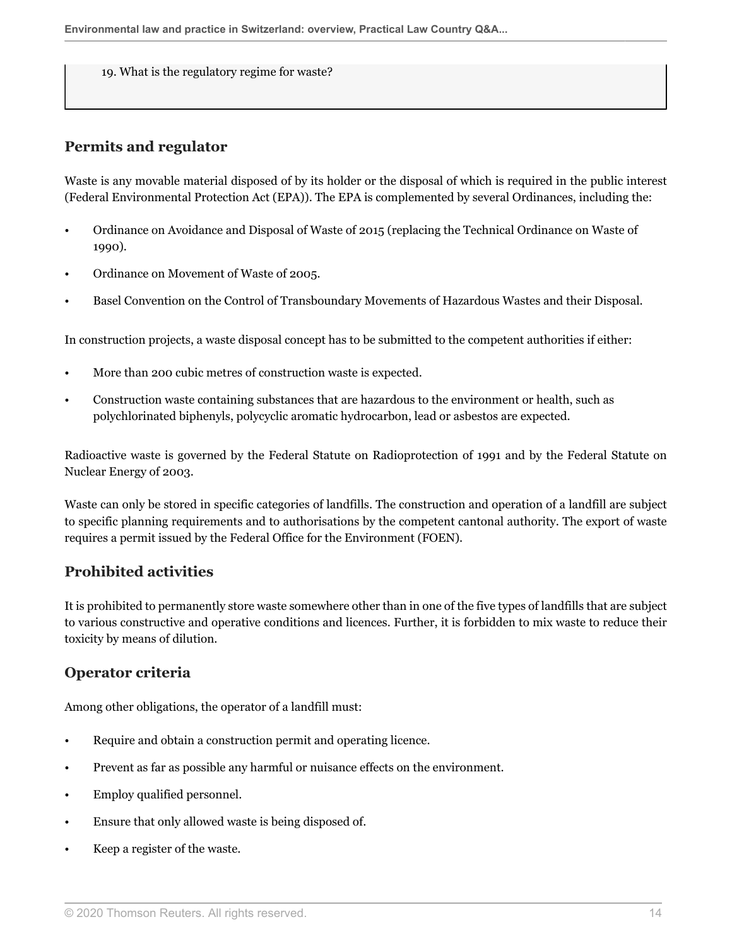19. What is the regulatory regime for waste?

### **Permits and regulator**

Waste is any movable material disposed of by its holder or the disposal of which is required in the public interest (Federal Environmental Protection Act (EPA)). The EPA is complemented by several Ordinances, including the:

- Ordinance on Avoidance and Disposal of Waste of 2015 (replacing the Technical Ordinance on Waste of 1990).
- Ordinance on Movement of Waste of 2005.
- Basel Convention on the Control of Transboundary Movements of Hazardous Wastes and their Disposal.

In construction projects, a waste disposal concept has to be submitted to the competent authorities if either:

- More than 200 cubic metres of construction waste is expected.
- Construction waste containing substances that are hazardous to the environment or health, such as polychlorinated biphenyls, polycyclic aromatic hydrocarbon, lead or asbestos are expected.

Radioactive waste is governed by the Federal Statute on Radioprotection of 1991 and by the Federal Statute on Nuclear Energy of 2003.

Waste can only be stored in specific categories of landfills. The construction and operation of a landfill are subject to specific planning requirements and to authorisations by the competent cantonal authority. The export of waste requires a permit issued by the Federal Office for the Environment (FOEN).

## **Prohibited activities**

It is prohibited to permanently store waste somewhere other than in one of the five types of landfills that are subject to various constructive and operative conditions and licences. Further, it is forbidden to mix waste to reduce their toxicity by means of dilution.

#### **Operator criteria**

Among other obligations, the operator of a landfill must:

- Require and obtain a construction permit and operating licence.
- Prevent as far as possible any harmful or nuisance effects on the environment.
- Employ qualified personnel.
- Ensure that only allowed waste is being disposed of.
- Keep a register of the waste.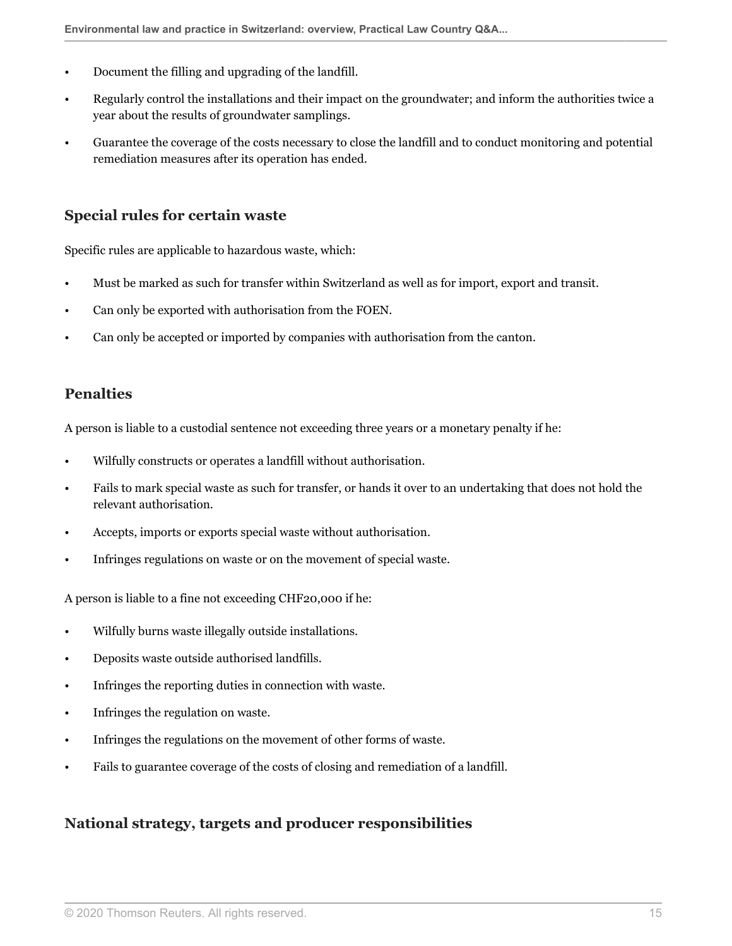- Document the filling and upgrading of the landfill.
- Regularly control the installations and their impact on the groundwater; and inform the authorities twice a year about the results of groundwater samplings.
- Guarantee the coverage of the costs necessary to close the landfill and to conduct monitoring and potential remediation measures after its operation has ended.

#### **Special rules for certain waste**

Specific rules are applicable to hazardous waste, which:

- Must be marked as such for transfer within Switzerland as well as for import, export and transit.
- Can only be exported with authorisation from the FOEN.
- Can only be accepted or imported by companies with authorisation from the canton.

#### **Penalties**

A person is liable to a custodial sentence not exceeding three years or a monetary penalty if he:

- Wilfully constructs or operates a landfill without authorisation.
- Fails to mark special waste as such for transfer, or hands it over to an undertaking that does not hold the relevant authorisation.
- Accepts, imports or exports special waste without authorisation.
- Infringes regulations on waste or on the movement of special waste.

A person is liable to a fine not exceeding CHF20,000 if he:

- Wilfully burns waste illegally outside installations.
- Deposits waste outside authorised landfills.
- Infringes the reporting duties in connection with waste.
- Infringes the regulation on waste.
- Infringes the regulations on the movement of other forms of waste.
- Fails to guarantee coverage of the costs of closing and remediation of a landfill.

#### **National strategy, targets and producer responsibilities**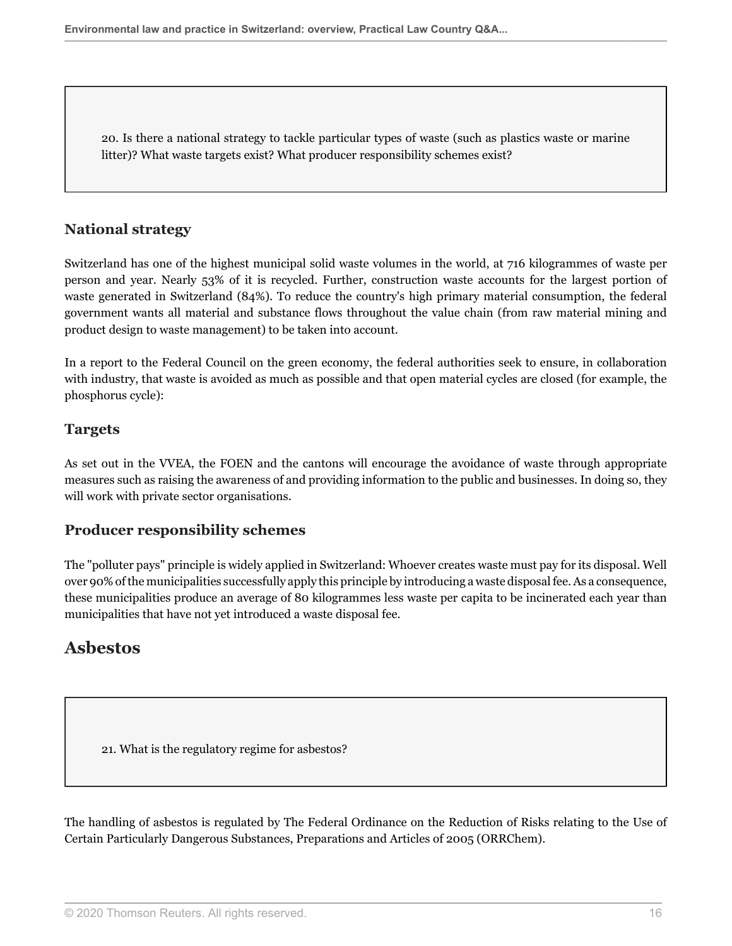20. Is there a national strategy to tackle particular types of waste (such as plastics waste or marine litter)? What waste targets exist? What producer responsibility schemes exist?

### **National strategy**

Switzerland has one of the highest municipal solid waste volumes in the world, at 716 kilogrammes of waste per person and year. Nearly 53% of it is recycled. Further, construction waste accounts for the largest portion of waste generated in Switzerland (84%). To reduce the country's high primary material consumption, the federal government wants all material and substance flows throughout the value chain (from raw material mining and product design to waste management) to be taken into account.

In a report to the Federal Council on the green economy, the federal authorities seek to ensure, in collaboration with industry, that waste is avoided as much as possible and that open material cycles are closed (for example, the phosphorus cycle):

#### **Targets**

As set out in the VVEA, the FOEN and the cantons will encourage the avoidance of waste through appropriate measures such as raising the awareness of and providing information to the public and businesses. In doing so, they will work with private sector organisations.

#### **Producer responsibility schemes**

The "polluter pays" principle is widely applied in Switzerland: Whoever creates waste must pay for its disposal. Well over 90% of the municipalities successfully apply this principle by introducing a waste disposal fee. As a consequence, these municipalities produce an average of 80 kilogrammes less waste per capita to be incinerated each year than municipalities that have not yet introduced a waste disposal fee.

## **Asbestos**

21. What is the regulatory regime for asbestos?

The handling of asbestos is regulated by The Federal Ordinance on the Reduction of Risks relating to the Use of Certain Particularly Dangerous Substances, Preparations and Articles of 2005 (ORRChem).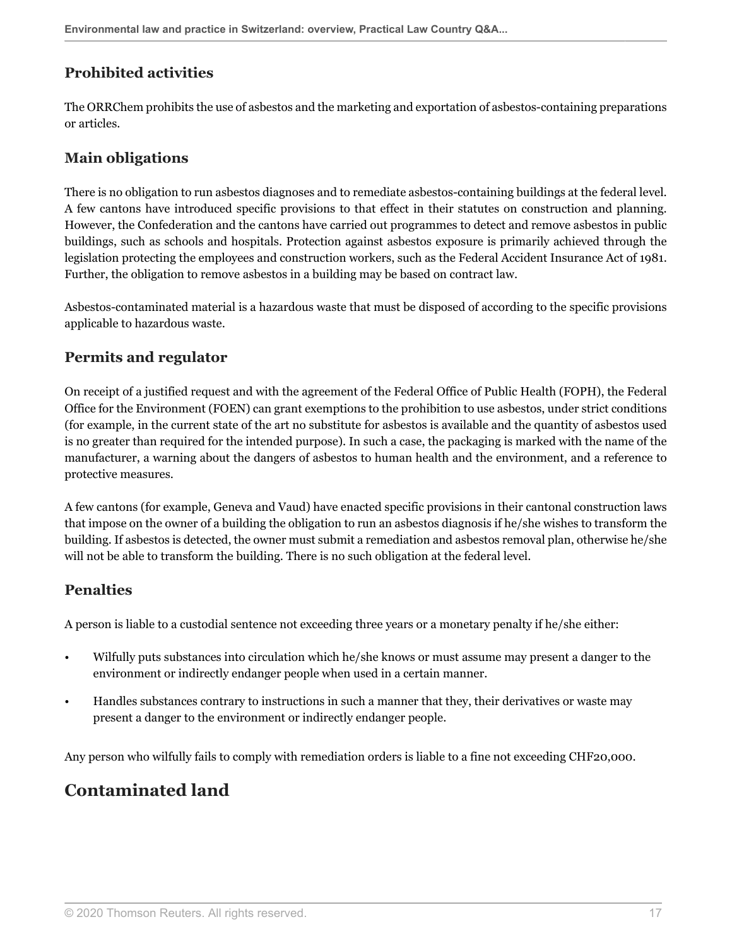## **Prohibited activities**

The ORRChem prohibits the use of asbestos and the marketing and exportation of asbestos-containing preparations or articles.

## **Main obligations**

There is no obligation to run asbestos diagnoses and to remediate asbestos-containing buildings at the federal level. A few cantons have introduced specific provisions to that effect in their statutes on construction and planning. However, the Confederation and the cantons have carried out programmes to detect and remove asbestos in public buildings, such as schools and hospitals. Protection against asbestos exposure is primarily achieved through the legislation protecting the employees and construction workers, such as the Federal Accident Insurance Act of 1981. Further, the obligation to remove asbestos in a building may be based on contract law.

Asbestos-contaminated material is a hazardous waste that must be disposed of according to the specific provisions applicable to hazardous waste.

## **Permits and regulator**

On receipt of a justified request and with the agreement of the Federal Office of Public Health (FOPH), the Federal Office for the Environment (FOEN) can grant exemptions to the prohibition to use asbestos, under strict conditions (for example, in the current state of the art no substitute for asbestos is available and the quantity of asbestos used is no greater than required for the intended purpose). In such a case, the packaging is marked with the name of the manufacturer, a warning about the dangers of asbestos to human health and the environment, and a reference to protective measures.

A few cantons (for example, Geneva and Vaud) have enacted specific provisions in their cantonal construction laws that impose on the owner of a building the obligation to run an asbestos diagnosis if he/she wishes to transform the building. If asbestos is detected, the owner must submit a remediation and asbestos removal plan, otherwise he/she will not be able to transform the building. There is no such obligation at the federal level.

## **Penalties**

A person is liable to a custodial sentence not exceeding three years or a monetary penalty if he/she either:

- Wilfully puts substances into circulation which he/she knows or must assume may present a danger to the environment or indirectly endanger people when used in a certain manner.
- Handles substances contrary to instructions in such a manner that they, their derivatives or waste may present a danger to the environment or indirectly endanger people.

Any person who wilfully fails to comply with remediation orders is liable to a fine not exceeding CHF20,000.

## **Contaminated land**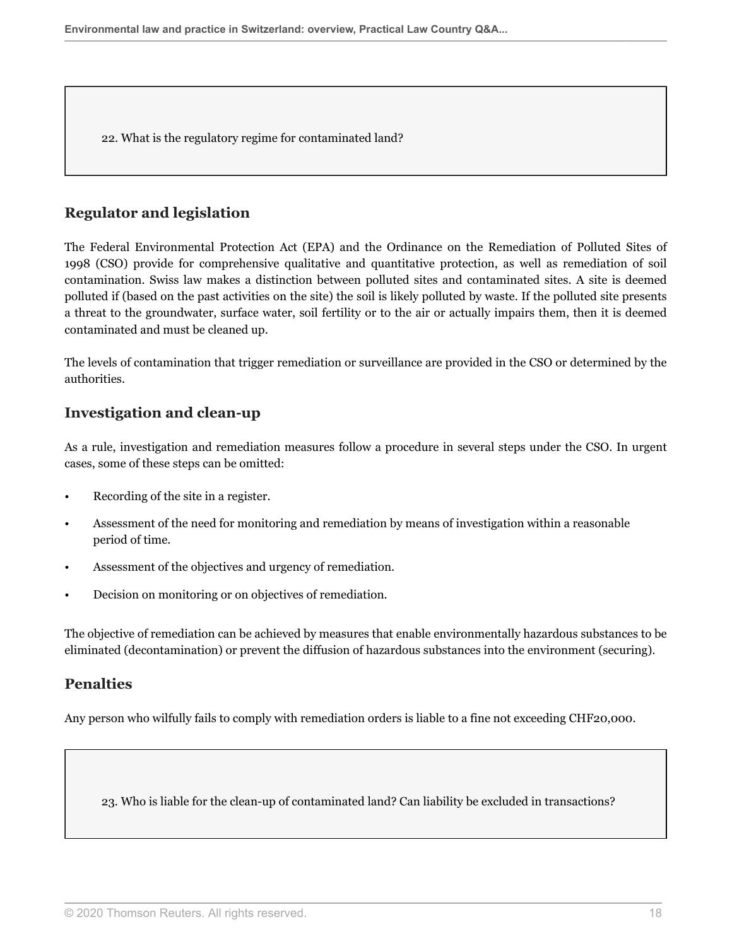22. What is the regulatory regime for contaminated land?

#### **Regulator and legislation**

The Federal Environmental Protection Act (EPA) and the Ordinance on the Remediation of Polluted Sites of 1998 (CSO) provide for comprehensive qualitative and quantitative protection, as well as remediation of soil contamination. Swiss law makes a distinction between polluted sites and contaminated sites. A site is deemed polluted if (based on the past activities on the site) the soil is likely polluted by waste. If the polluted site presents a threat to the groundwater, surface water, soil fertility or to the air or actually impairs them, then it is deemed contaminated and must be cleaned up.

The levels of contamination that trigger remediation or surveillance are provided in the CSO or determined by the authorities.

## **Investigation and clean-up**

As a rule, investigation and remediation measures follow a procedure in several steps under the CSO. In urgent cases, some of these steps can be omitted:

- Recording of the site in a register.
- Assessment of the need for monitoring and remediation by means of investigation within a reasonable period of time.
- Assessment of the objectives and urgency of remediation.
- Decision on monitoring or on objectives of remediation.

The objective of remediation can be achieved by measures that enable environmentally hazardous substances to be eliminated (decontamination) or prevent the diffusion of hazardous substances into the environment (securing).

#### **Penalties**

Any person who wilfully fails to comply with remediation orders is liable to a fine not exceeding CHF20,000.

<span id="page-17-0"></span>23. Who is liable for the clean-up of contaminated land? Can liability be excluded in transactions?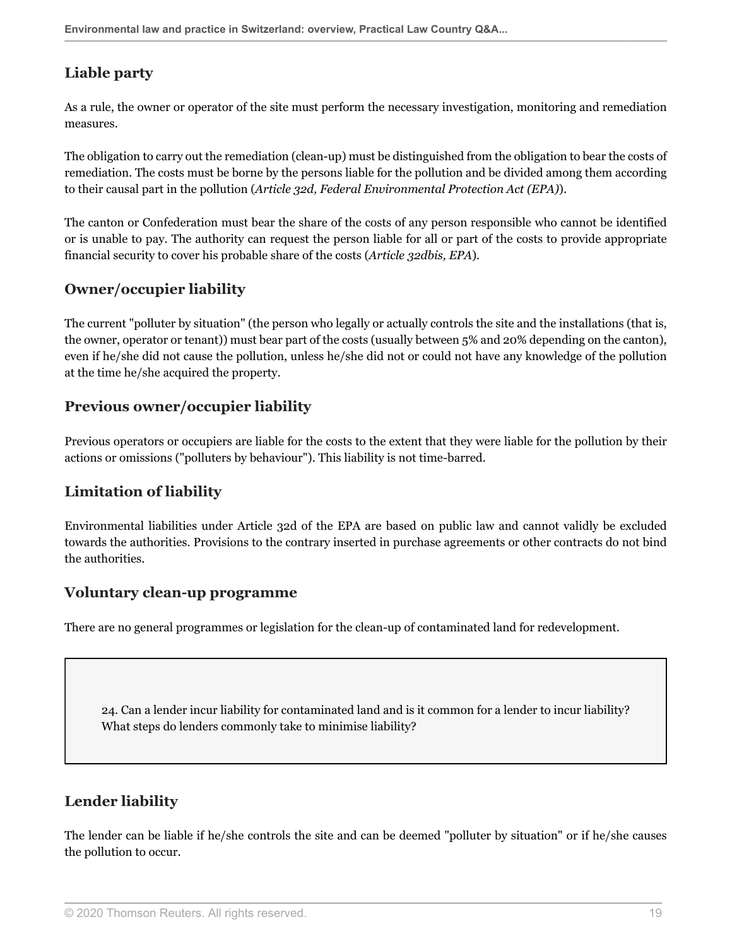## **Liable party**

As a rule, the owner or operator of the site must perform the necessary investigation, monitoring and remediation measures.

The obligation to carry out the remediation (clean-up) must be distinguished from the obligation to bear the costs of remediation. The costs must be borne by the persons liable for the pollution and be divided among them according to their causal part in the pollution (*Article 32d, Federal Environmental Protection Act (EPA)*).

The canton or Confederation must bear the share of the costs of any person responsible who cannot be identified or is unable to pay. The authority can request the person liable for all or part of the costs to provide appropriate financial security to cover his probable share of the costs (*Article 32dbis, EPA*).

## **Owner/occupier liability**

The current "polluter by situation" (the person who legally or actually controls the site and the installations (that is, the owner, operator or tenant)) must bear part of the costs (usually between 5% and 20% depending on the canton), even if he/she did not cause the pollution, unless he/she did not or could not have any knowledge of the pollution at the time he/she acquired the property.

## **Previous owner/occupier liability**

Previous operators or occupiers are liable for the costs to the extent that they were liable for the pollution by their actions or omissions ("polluters by behaviour"). This liability is not time-barred.

## **Limitation of liability**

Environmental liabilities under Article 32d of the EPA are based on public law and cannot validly be excluded towards the authorities. Provisions to the contrary inserted in purchase agreements or other contracts do not bind the authorities.

#### **Voluntary clean-up programme**

There are no general programmes or legislation for the clean-up of contaminated land for redevelopment.

24. Can a lender incur liability for contaminated land and is it common for a lender to incur liability? What steps do lenders commonly take to minimise liability?

## **Lender liability**

The lender can be liable if he/she controls the site and can be deemed "polluter by situation" or if he/she causes the pollution to occur.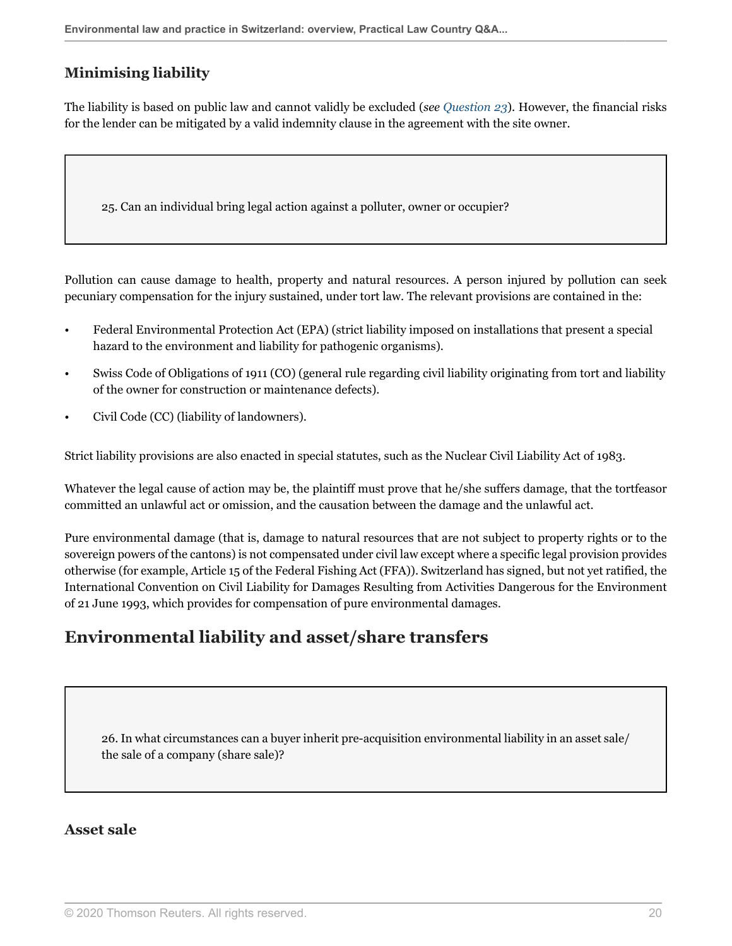## **Minimising liability**

The liability is based on public law and cannot validly be excluded (*see [Question 23](#page-17-0)*). However, the financial risks for the lender can be mitigated by a valid indemnity clause in the agreement with the site owner.

25. Can an individual bring legal action against a polluter, owner or occupier?

Pollution can cause damage to health, property and natural resources. A person injured by pollution can seek pecuniary compensation for the injury sustained, under tort law. The relevant provisions are contained in the:

- Federal Environmental Protection Act (EPA) (strict liability imposed on installations that present a special hazard to the environment and liability for pathogenic organisms).
- Swiss Code of Obligations of 1911 (CO) (general rule regarding civil liability originating from tort and liability of the owner for construction or maintenance defects).
- Civil Code (CC) (liability of landowners).

Strict liability provisions are also enacted in special statutes, such as the Nuclear Civil Liability Act of 1983.

Whatever the legal cause of action may be, the plaintiff must prove that he/she suffers damage, that the tortfeasor committed an unlawful act or omission, and the causation between the damage and the unlawful act.

Pure environmental damage (that is, damage to natural resources that are not subject to property rights or to the sovereign powers of the cantons) is not compensated under civil law except where a specific legal provision provides otherwise (for example, Article 15 of the Federal Fishing Act (FFA)). Switzerland has signed, but not yet ratified, the International Convention on Civil Liability for Damages Resulting from Activities Dangerous for the Environment of 21 June 1993, which provides for compensation of pure environmental damages.

## **Environmental liability and asset/share transfers**

26. In what circumstances can a buyer inherit pre-acquisition environmental liability in an asset sale/ the sale of a company (share sale)?

#### **Asset sale**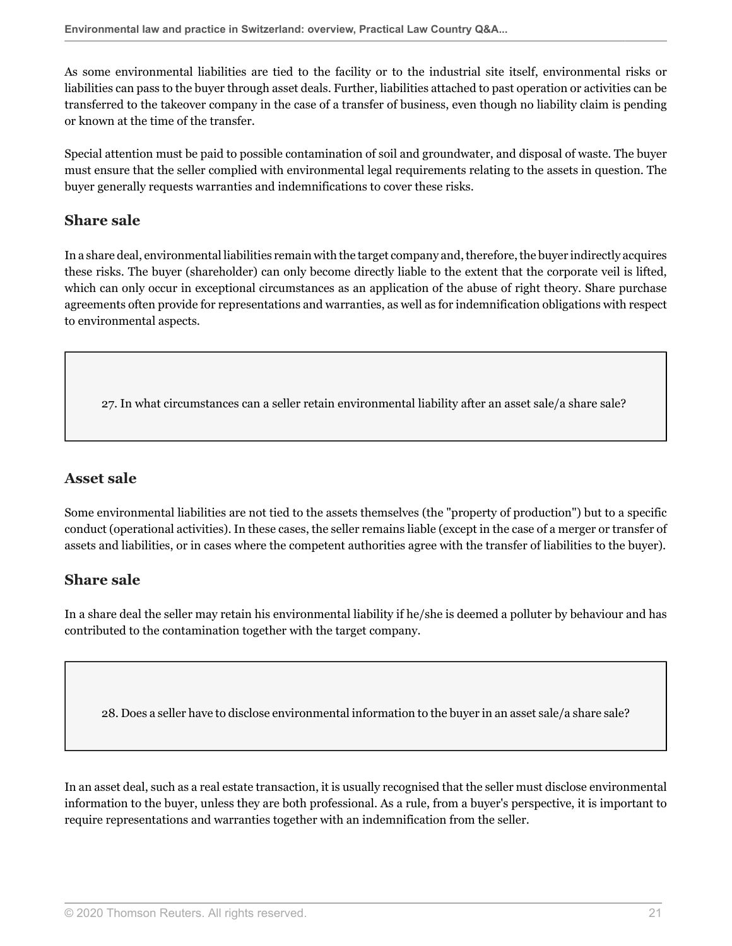As some environmental liabilities are tied to the facility or to the industrial site itself, environmental risks or liabilities can pass to the buyer through asset deals. Further, liabilities attached to past operation or activities can be transferred to the takeover company in the case of a transfer of business, even though no liability claim is pending or known at the time of the transfer.

Special attention must be paid to possible contamination of soil and groundwater, and disposal of waste. The buyer must ensure that the seller complied with environmental legal requirements relating to the assets in question. The buyer generally requests warranties and indemnifications to cover these risks.

### **Share sale**

In a share deal, environmental liabilities remain with the target company and, therefore, the buyer indirectly acquires these risks. The buyer (shareholder) can only become directly liable to the extent that the corporate veil is lifted, which can only occur in exceptional circumstances as an application of the abuse of right theory. Share purchase agreements often provide for representations and warranties, as well as for indemnification obligations with respect to environmental aspects.

27. In what circumstances can a seller retain environmental liability after an asset sale/a share sale?

#### **Asset sale**

Some environmental liabilities are not tied to the assets themselves (the "property of production") but to a specific conduct (operational activities). In these cases, the seller remains liable (except in the case of a merger or transfer of assets and liabilities, or in cases where the competent authorities agree with the transfer of liabilities to the buyer).

#### **Share sale**

In a share deal the seller may retain his environmental liability if he/she is deemed a polluter by behaviour and has contributed to the contamination together with the target company.

28. Does a seller have to disclose environmental information to the buyer in an asset sale/a share sale?

In an asset deal, such as a real estate transaction, it is usually recognised that the seller must disclose environmental information to the buyer, unless they are both professional. As a rule, from a buyer's perspective, it is important to require representations and warranties together with an indemnification from the seller.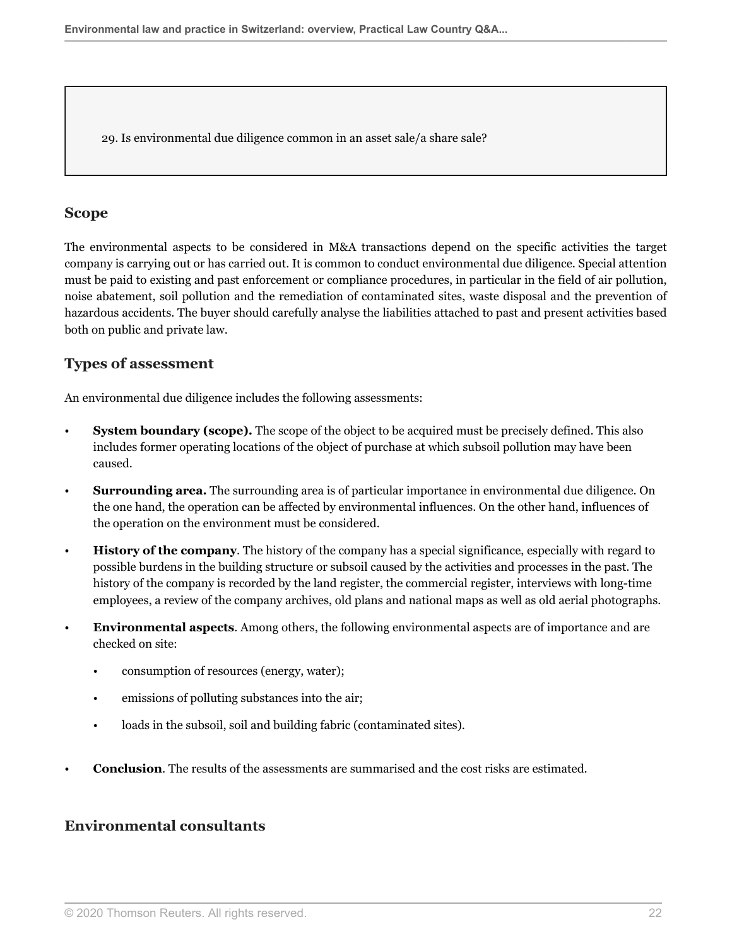29. Is environmental due diligence common in an asset sale/a share sale?

### **Scope**

The environmental aspects to be considered in M&A transactions depend on the specific activities the target company is carrying out or has carried out. It is common to conduct environmental due diligence. Special attention must be paid to existing and past enforcement or compliance procedures, in particular in the field of air pollution, noise abatement, soil pollution and the remediation of contaminated sites, waste disposal and the prevention of hazardous accidents. The buyer should carefully analyse the liabilities attached to past and present activities based both on public and private law.

### **Types of assessment**

An environmental due diligence includes the following assessments:

- **System boundary (scope).** The scope of the object to be acquired must be precisely defined. This also includes former operating locations of the object of purchase at which subsoil pollution may have been caused.
- **Surrounding area.** The surrounding area is of particular importance in environmental due diligence. On the one hand, the operation can be affected by environmental influences. On the other hand, influences of the operation on the environment must be considered.
- **History of the company**. The history of the company has a special significance, especially with regard to possible burdens in the building structure or subsoil caused by the activities and processes in the past. The history of the company is recorded by the land register, the commercial register, interviews with long-time employees, a review of the company archives, old plans and national maps as well as old aerial photographs.
- **Environmental aspects**. Among others, the following environmental aspects are of importance and are checked on site:
	- consumption of resources (energy, water);
	- emissions of polluting substances into the air;
	- loads in the subsoil, soil and building fabric (contaminated sites).
- **Conclusion**. The results of the assessments are summarised and the cost risks are estimated.

#### **Environmental consultants**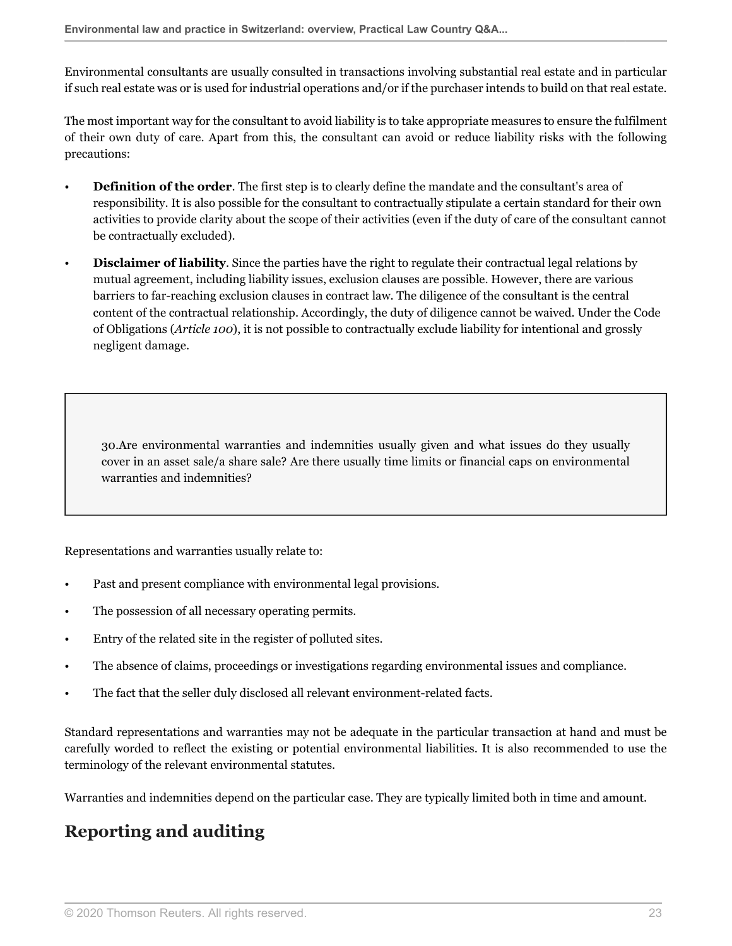Environmental consultants are usually consulted in transactions involving substantial real estate and in particular if such real estate was or is used for industrial operations and/or if the purchaser intends to build on that real estate.

The most important way for the consultant to avoid liability is to take appropriate measures to ensure the fulfilment of their own duty of care. Apart from this, the consultant can avoid or reduce liability risks with the following precautions:

- **Definition of the order**. The first step is to clearly define the mandate and the consultant's area of responsibility. It is also possible for the consultant to contractually stipulate a certain standard for their own activities to provide clarity about the scope of their activities (even if the duty of care of the consultant cannot be contractually excluded).
- **Disclaimer of liability**. Since the parties have the right to regulate their contractual legal relations by mutual agreement, including liability issues, exclusion clauses are possible. However, there are various barriers to far-reaching exclusion clauses in contract law. The diligence of the consultant is the central content of the contractual relationship. Accordingly, the duty of diligence cannot be waived. Under the Code of Obligations (*Article 100*), it is not possible to contractually exclude liability for intentional and grossly negligent damage.

30.Are environmental warranties and indemnities usually given and what issues do they usually cover in an asset sale/a share sale? Are there usually time limits or financial caps on environmental warranties and indemnities?

Representations and warranties usually relate to:

- Past and present compliance with environmental legal provisions.
- The possession of all necessary operating permits.
- Entry of the related site in the register of polluted sites.
- The absence of claims, proceedings or investigations regarding environmental issues and compliance.
- The fact that the seller duly disclosed all relevant environment-related facts.

Standard representations and warranties may not be adequate in the particular transaction at hand and must be carefully worded to reflect the existing or potential environmental liabilities. It is also recommended to use the terminology of the relevant environmental statutes.

Warranties and indemnities depend on the particular case. They are typically limited both in time and amount.

## **Reporting and auditing**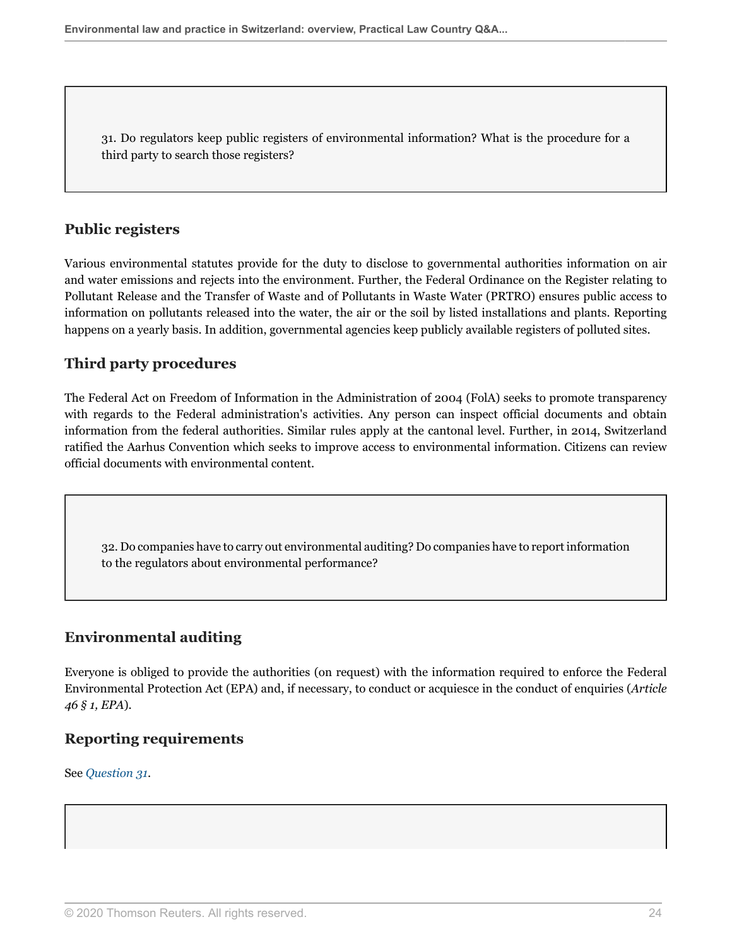<span id="page-23-0"></span>31. Do regulators keep public registers of environmental information? What is the procedure for a third party to search those registers?

### **Public registers**

Various environmental statutes provide for the duty to disclose to governmental authorities information on air and water emissions and rejects into the environment. Further, the Federal Ordinance on the Register relating to Pollutant Release and the Transfer of Waste and of Pollutants in Waste Water (PRTRO) ensures public access to information on pollutants released into the water, the air or the soil by listed installations and plants. Reporting happens on a yearly basis. In addition, governmental agencies keep publicly available registers of polluted sites.

## **Third party procedures**

The Federal Act on Freedom of Information in the Administration of 2004 (FolA) seeks to promote transparency with regards to the Federal administration's activities. Any person can inspect official documents and obtain information from the federal authorities. Similar rules apply at the cantonal level. Further, in 2014, Switzerland ratified the Aarhus Convention which seeks to improve access to environmental information. Citizens can review official documents with environmental content.

32. Do companies have to carry out environmental auditing? Do companies have to report information to the regulators about environmental performance?

## **Environmental auditing**

Everyone is obliged to provide the authorities (on request) with the information required to enforce the Federal Environmental Protection Act (EPA) and, if necessary, to conduct or acquiesce in the conduct of enquiries (*Article 46 § 1, EPA*).

## **Reporting requirements**

See *[Question 31](#page-23-0)*.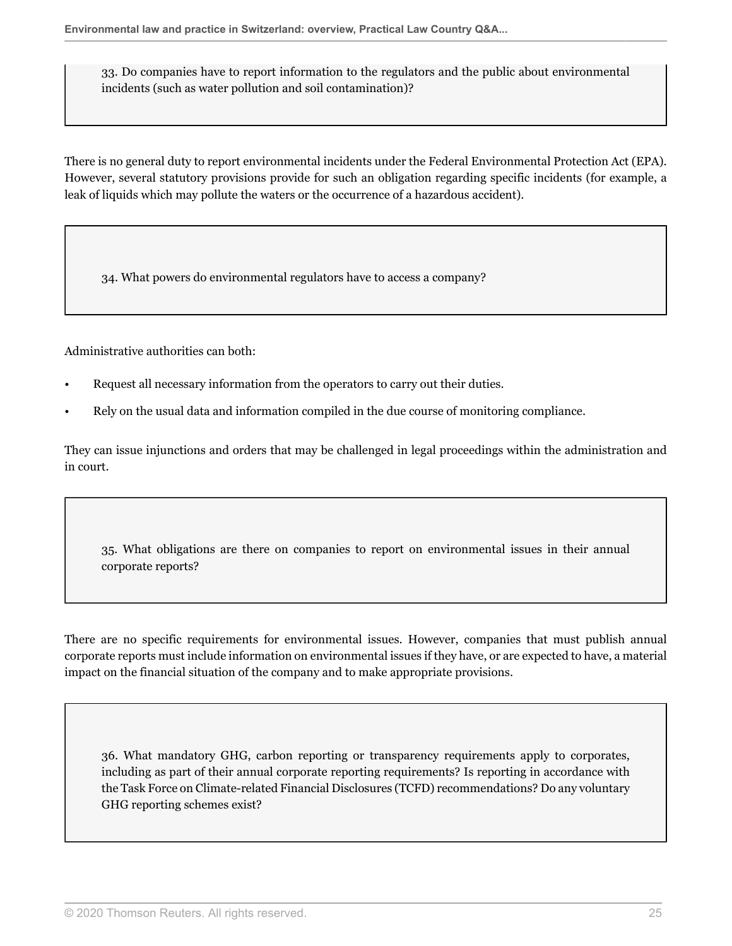33. Do companies have to report information to the regulators and the public about environmental incidents (such as water pollution and soil contamination)?

There is no general duty to report environmental incidents under the Federal Environmental Protection Act (EPA). However, several statutory provisions provide for such an obligation regarding specific incidents (for example, a leak of liquids which may pollute the waters or the occurrence of a hazardous accident).

34. What powers do environmental regulators have to access a company?

Administrative authorities can both:

- Request all necessary information from the operators to carry out their duties.
- Rely on the usual data and information compiled in the due course of monitoring compliance.

They can issue injunctions and orders that may be challenged in legal proceedings within the administration and in court.

<span id="page-24-0"></span>35. What obligations are there on companies to report on environmental issues in their annual corporate reports?

There are no specific requirements for environmental issues. However, companies that must publish annual corporate reports must include information on environmental issues if they have, or are expected to have, a material impact on the financial situation of the company and to make appropriate provisions.

36. What mandatory GHG, carbon reporting or transparency requirements apply to corporates, including as part of their annual corporate reporting requirements? Is reporting in accordance with the Task Force on Climate-related Financial Disclosures (TCFD) recommendations? Do any voluntary GHG reporting schemes exist?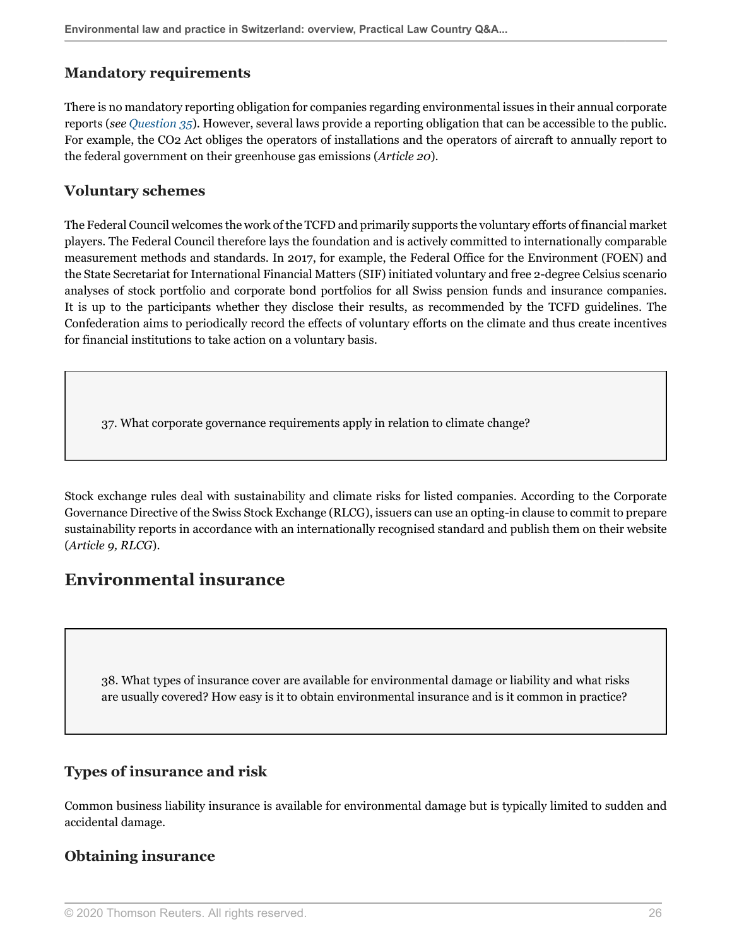### **Mandatory requirements**

There is no mandatory reporting obligation for companies regarding environmental issues in their annual corporate reports (*see [Question 35](#page-24-0)*). However, several laws provide a reporting obligation that can be accessible to the public. For example, the CO2 Act obliges the operators of installations and the operators of aircraft to annually report to the federal government on their greenhouse gas emissions (*Article 20*).

### **Voluntary schemes**

The Federal Council welcomes the work of the TCFD and primarily supports the voluntary efforts of financial market players. The Federal Council therefore lays the foundation and is actively committed to internationally comparable measurement methods and standards. In 2017, for example, the Federal Office for the Environment (FOEN) and the State Secretariat for International Financial Matters (SIF) initiated voluntary and free 2-degree Celsius scenario analyses of stock portfolio and corporate bond portfolios for all Swiss pension funds and insurance companies. It is up to the participants whether they disclose their results, as recommended by the TCFD guidelines. The Confederation aims to periodically record the effects of voluntary efforts on the climate and thus create incentives for financial institutions to take action on a voluntary basis.

37. What corporate governance requirements apply in relation to climate change?

Stock exchange rules deal with sustainability and climate risks for listed companies. According to the Corporate Governance Directive of the Swiss Stock Exchange (RLCG), issuers can use an opting-in clause to commit to prepare sustainability reports in accordance with an internationally recognised standard and publish them on their website (*Article 9, RLCG*).

## **Environmental insurance**

38. What types of insurance cover are available for environmental damage or liability and what risks are usually covered? How easy is it to obtain environmental insurance and is it common in practice?

## **Types of insurance and risk**

Common business liability insurance is available for environmental damage but is typically limited to sudden and accidental damage.

## **Obtaining insurance**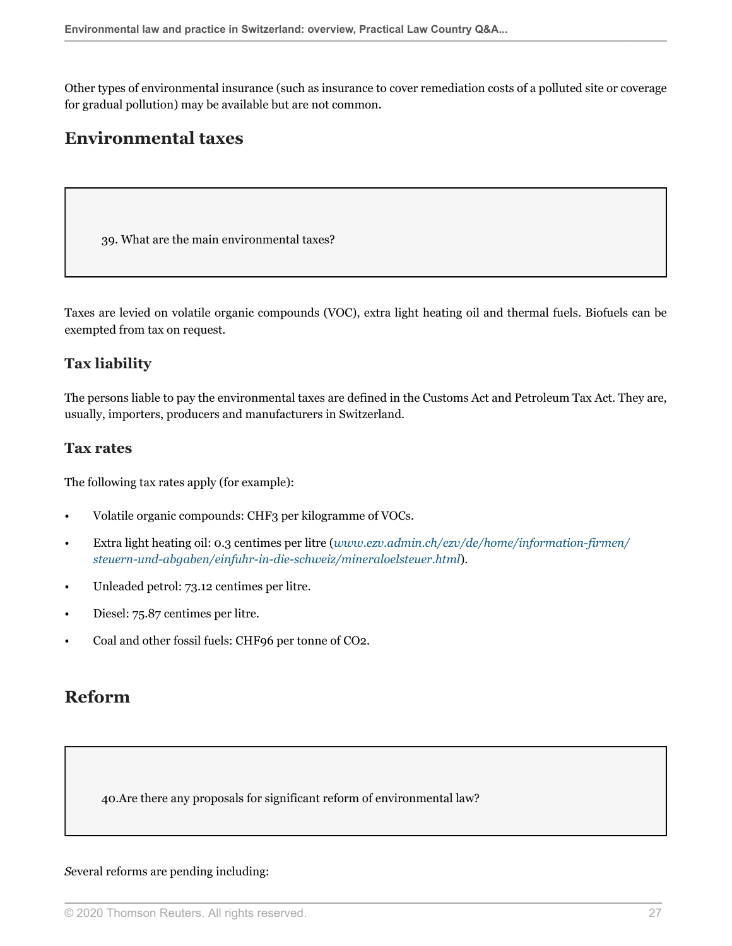Other types of environmental insurance (such as insurance to cover remediation costs of a polluted site or coverage for gradual pollution) may be available but are not common.

## **Environmental taxes**

39. What are the main environmental taxes?

Taxes are levied on volatile organic compounds (VOC), extra light heating oil and thermal fuels. Biofuels can be exempted from tax on request.

#### **Tax liability**

The persons liable to pay the environmental taxes are defined in the Customs Act and Petroleum Tax Act. They are, usually, importers, producers and manufacturers in Switzerland.

#### **Tax rates**

The following tax rates apply (for example):

- Volatile organic compounds: CHF3 per kilogramme of VOCs.
- Extra light heating oil: 0.3 centimes per litre (*[www.ezv.admin.ch/ezv/de/home/information-firmen/](http://www.ezv.admin.ch/ezv/de/home/information-firmen/steuern-und-abgaben/einfuhr-in-die-schweiz/mineraloelsteuer.html) [steuern-und-abgaben/einfuhr-in-die-schweiz/mineraloelsteuer.html](http://www.ezv.admin.ch/ezv/de/home/information-firmen/steuern-und-abgaben/einfuhr-in-die-schweiz/mineraloelsteuer.html)*).
- Unleaded petrol: 73.12 centimes per litre.
- Diesel: 75.87 centimes per litre.
- Coal and other fossil fuels: CHF96 per tonne of CO2.

## **Reform**

40.Are there any proposals for significant reform of environmental law?

#### *S*everal reforms are pending including: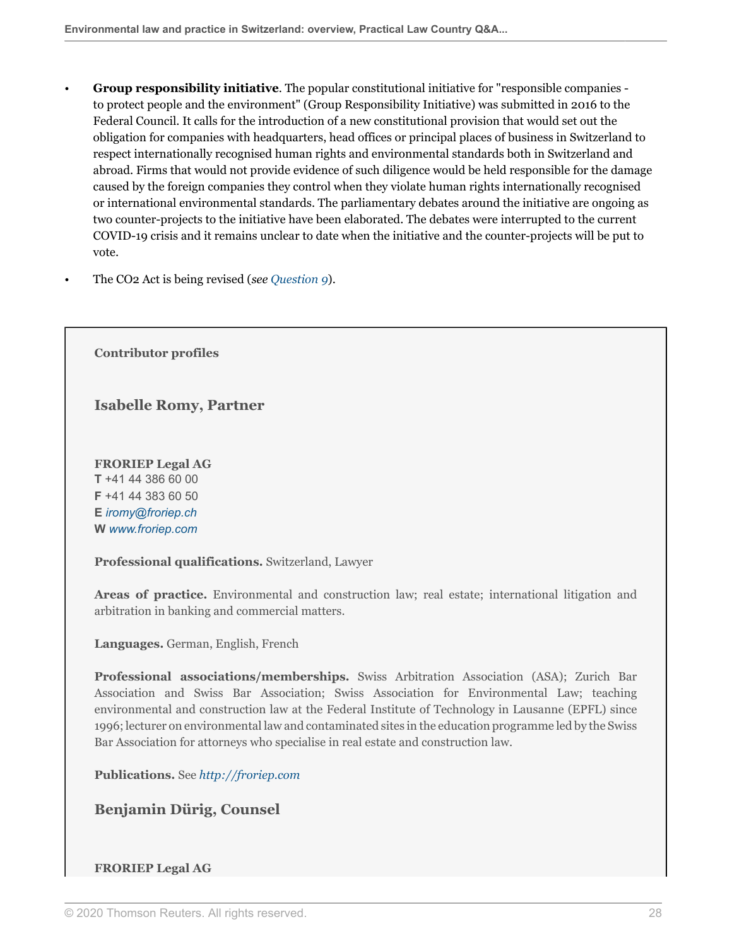- **Group responsibility initiative**. The popular constitutional initiative for "responsible companies to protect people and the environment" (Group Responsibility Initiative) was submitted in 2016 to the Federal Council. It calls for the introduction of a new constitutional provision that would set out the obligation for companies with headquarters, head offices or principal places of business in Switzerland to respect internationally recognised human rights and environmental standards both in Switzerland and abroad. Firms that would not provide evidence of such diligence would be held responsible for the damage caused by the foreign companies they control when they violate human rights internationally recognised or international environmental standards. The parliamentary debates around the initiative are ongoing as two counter-projects to the initiative have been elaborated. The debates were interrupted to the current COVID-19 crisis and it remains unclear to date when the initiative and the counter-projects will be put to vote.
- The CO2 Act is being revised (*see [Question 9](#page-6-0)*).

**Contributor profiles**

**Isabelle Romy, Partner**

**FRORIEP Legal AG T** +41 44 386 60 00 **F** +41 44 383 60 50 **E** *[iromy@froriep.ch](mailto:iromy@froriep.ch)* **W** *[www.froriep.com](http://www.froriep.com)*

**Professional qualifications.** Switzerland, Lawyer

**Areas of practice.** Environmental and construction law; real estate; international litigation and arbitration in banking and commercial matters.

**Languages.** German, English, French

**Professional associations/memberships.** Swiss Arbitration Association (ASA); Zurich Bar Association and Swiss Bar Association; Swiss Association for Environmental Law; teaching environmental and construction law at the Federal Institute of Technology in Lausanne (EPFL) since 1996; lecturer on environmental law and contaminated sites in the education programme led by the Swiss Bar Association for attorneys who specialise in real estate and construction law.

**Publications.** See *<http://froriep.com>*

**Benjamin Dürig, Counsel**

#### **FRORIEP Legal AG**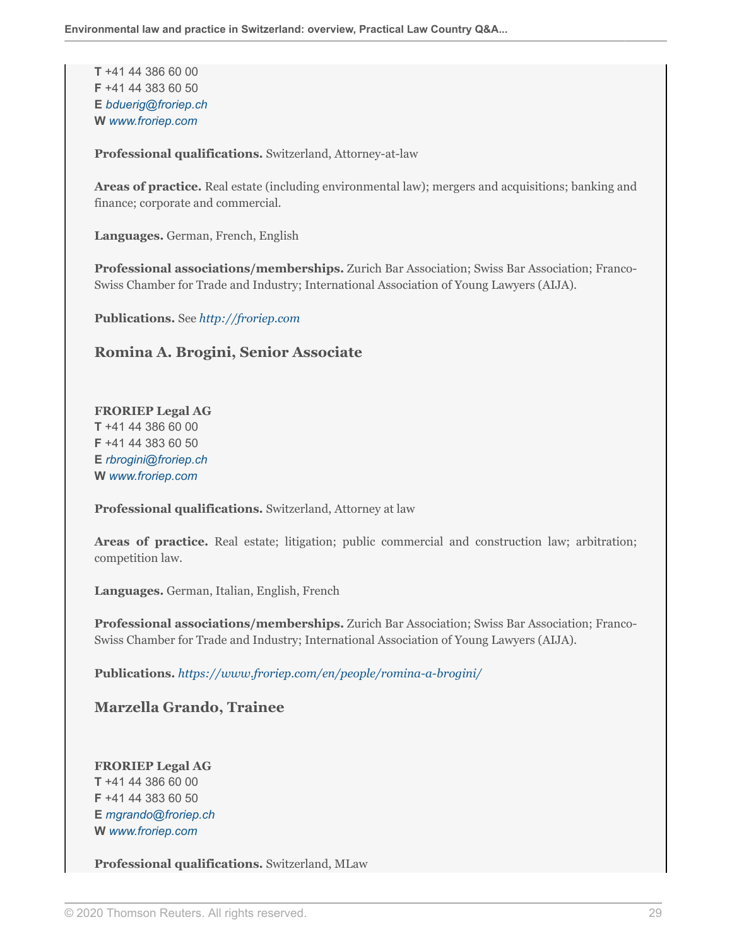**T** +41 44 386 60 00 **F** +41 44 383 60 50 **E** *[bduerig@froriep.ch](mailto:bduerig@froriep.ch)* **W** *[www.froriep.com](http://www.froriep.com)*

**Professional qualifications.** Switzerland, Attorney-at-law

**Areas of practice.** Real estate (including environmental law); mergers and acquisitions; banking and finance; corporate and commercial.

**Languages.** German, French, English

**Professional associations/memberships.** Zurich Bar Association; Swiss Bar Association; Franco-Swiss Chamber for Trade and Industry; International Association of Young Lawyers (AIJA).

**Publications.** See *<http://froriep.com>*

#### **Romina A. Brogini, Senior Associate**

## **FRORIEP Legal AG**

**T** +41 44 386 60 00 **F** +41 44 383 60 50 **E** *[rbrogini@froriep.ch](mailto:rbrogini@froriep.ch)* **W** *[www.froriep.com](http://www.froriep.com)*

**Professional qualifications.** Switzerland, Attorney at law

**Areas of practice.** Real estate; litigation; public commercial and construction law; arbitration; competition law.

**Languages.** German, Italian, English, French

**Professional associations/memberships.** Zurich Bar Association; Swiss Bar Association; Franco-Swiss Chamber for Trade and Industry; International Association of Young Lawyers (AIJA).

**Publications.** *[https://www.froriep.com/en/people/romina-a-brogini/](https://www.froriep.com/en/people/romina-a-brogini/ )*

**Marzella Grando, Trainee**

**FRORIEP Legal AG T** +41 44 386 60 00 **F** +41 44 383 60 50 **E** *[mgrando@froriep.ch](mailto:mgrando@froriep.ch)* **W** *[www.froriep.com](http://www.froriep.com)*

**Professional qualifications.** Switzerland, MLaw